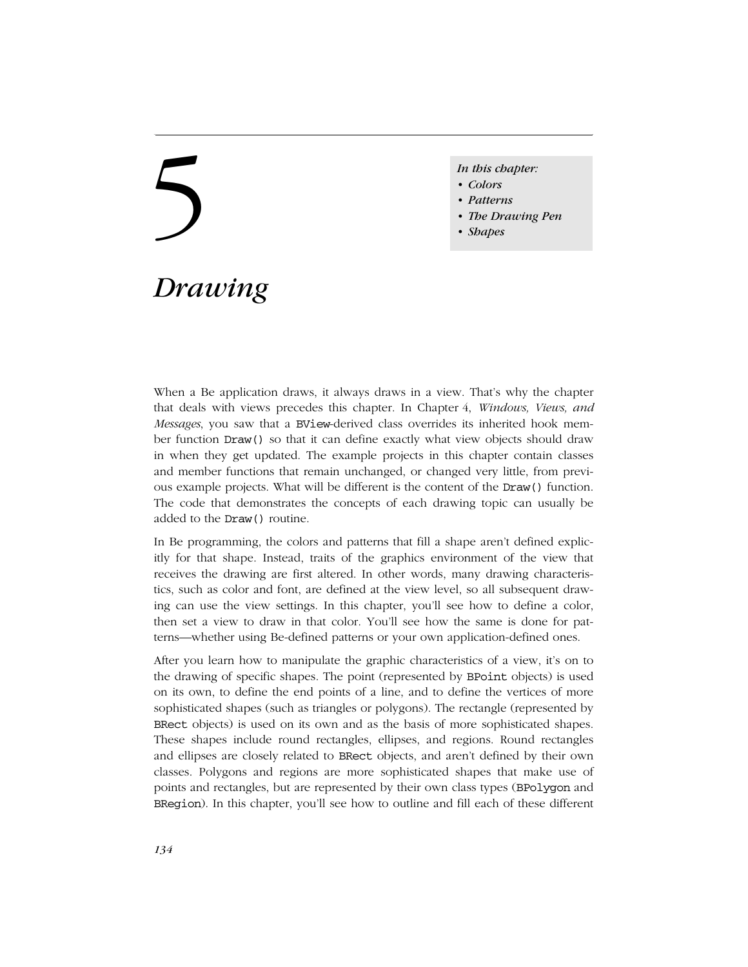# *In this chapter:*<br>
• Colors<br>
• Patterns<br>
• The Drawing Pen<br>
• Shapes

 $Drawing$ 

#### *In this chapter:*

- *Colors*
- *Patterns*
- 
- 

When a Be application draws, it always draws in a view. That's why the chapter that deals with views precedes this chapter. In Chapter 4, *Windows, Views, and Messages*, you saw that a BView-derived class overrides its inherited hook member function Draw() so that it can define exactly what view objects should draw in when they get updated. The example projects in this chapter contain classes and member functions that remain unchanged, or changed very little, from previous example projects. What will be different is the content of the Draw() function. The code that demonstrates the concepts of each drawing topic can usually be added to the Draw() routine.

In Be programming, the colors and patterns that fill a shape aren't defined explicitly for that shape. Instead, traits of the graphics environment of the view that receives the drawing are first altered. In other words, many drawing characteristics, such as color and font, are defined at the view level, so all subsequent drawing can use the view settings. In this chapter, you'll see how to define a color, then set a view to draw in that color. You'll see how the same is done for patterns—whether using Be-defined patterns or your own application-defined ones.

After you learn how to manipulate the graphic characteristics of a view, it's on to the drawing of specific shapes. The point (represented by BPoint objects) is used on its own, to define the end points of a line, and to define the vertices of more sophisticated shapes (such as triangles or polygons). The rectangle (represented by BRect objects) is used on its own and as the basis of more sophisticated shapes. These shapes include round rectangles, ellipses, and regions. Round rectangles and ellipses are closely related to BRect objects, and aren't defined by their own classes. Polygons and regions are more sophisticated shapes that make use of points and rectangles, but are represented by their own class types (BPolygon and BRegion). In this chapter, you'll see how to outline and fill each of these different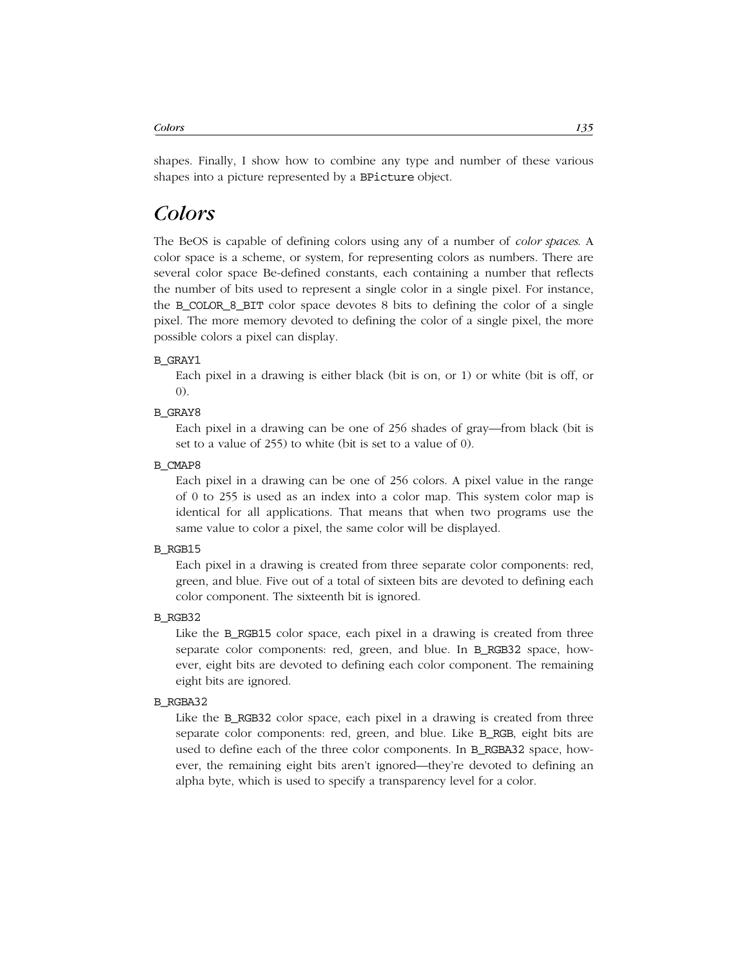#### *Colors 135*

shapes. Finally, I show how to combine any type and number of these various shapes into a picture represented by a BPicture object.

# *Colors*

The BeOS is capable of defining colors using any of a number of *color spaces*. A color space is a scheme, or system, for representing colors as numbers. There are several color space Be-defined constants, each containing a number that reflects the number of bits used to represent a single color in a single pixel. For instance, the B\_COLOR\_8\_BIT color space devotes 8 bits to defining the color of a single pixel. The more memory devoted to defining the color of a single pixel, the more possible colors a pixel can display.

#### B\_GRAY1

Each pixel in a drawing is either black (bit is on, or 1) or white (bit is off, or 0).

#### B\_GRAY8

Each pixel in a drawing can be one of 256 shades of gray—from black (bit is set to a value of 255) to white (bit is set to a value of 0).

#### B\_CMAP8

Each pixel in a drawing can be one of 256 colors. A pixel value in the range of 0 to 255 is used as an index into a color map. This system color map is identical for all applications. That means that when two programs use the same value to color a pixel, the same color will be displayed.

#### B\_RGB15

Each pixel in a drawing is created from three separate color components: red, green, and blue. Five out of a total of sixteen bits are devoted to defining each color component. The sixteenth bit is ignored.

#### B\_RGB32

Like the B\_RGB15 color space, each pixel in a drawing is created from three separate color components: red, green, and blue. In B\_RGB32 space, however, eight bits are devoted to defining each color component. The remaining eight bits are ignored.

#### B\_RGBA32

Like the B\_RGB32 color space, each pixel in a drawing is created from three separate color components: red, green, and blue. Like B\_RGB, eight bits are used to define each of the three color components. In B\_RGBA32 space, however, the remaining eight bits aren't ignored—they're devoted to defining an alpha byte, which is used to specify a transparency level for a color.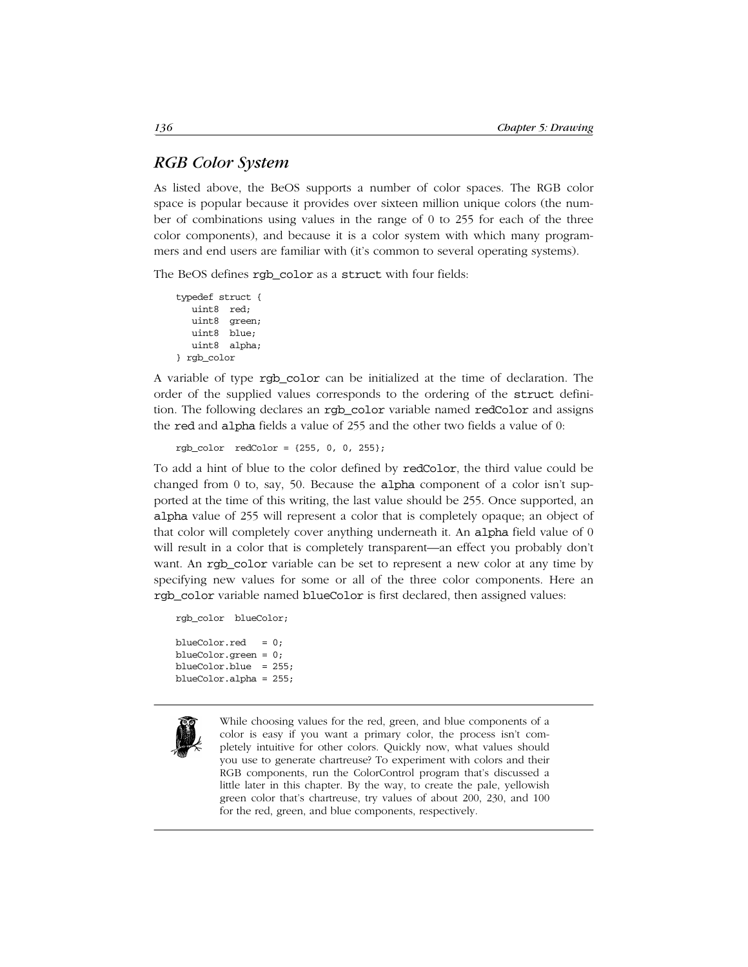## *RGB Color System*

As listed above, the BeOS supports a number of color spaces. The RGB color space is popular because it provides over sixteen million unique colors (the number of combinations using values in the range of 0 to 255 for each of the three color components), and because it is a color system with which many programmers and end users are familiar with (it's common to several operating systems).

The BeOS defines rgb\_color as a struct with four fields:

```
typedef struct {
    uint8 red;
    uint8 green;
    uint8 blue;
    uint8 alpha;
} rgb_color
```
A variable of type rgb\_color can be initialized at the time of declaration. The order of the supplied values corresponds to the ordering of the struct definition. The following declares an rgb\_color variable named redColor and assigns the red and alpha fields a value of 255 and the other two fields a value of 0:

 $rgb\_color = {255, 0, 0, 255};$ 

To add a hint of blue to the color defined by redColor, the third value could be changed from 0 to, say, 50. Because the alpha component of a color isn't supported at the time of this writing, the last value should be 255. Once supported, an alpha value of 255 will represent a color that is completely opaque; an object of that color will completely cover anything underneath it. An alpha field value of 0 will result in a color that is completely transparent—an effect you probably don't want. An rgb\_color variable can be set to represent a new color at any time by specifying new values for some or all of the three color components. Here an rgb\_color variable named blueColor is first declared, then assigned values:

```
rgb_color blueColor;
blueColor.red = 0;
```

```
blueColor.green = 0;
blueColor.blue = 255;
blueColor.alpha = 255;
```


While choosing values for the red, green, and blue components of a color is easy if you want a primary color, the process isn't completely intuitive for other colors. Quickly now, what values should you use to generate chartreuse? To experiment with colors and their RGB components, run the ColorControl program that's discussed a little later in this chapter. By the way, to create the pale, yellowish green color that's chartreuse, try values of about 200, 230, and 100 for the red, green, and blue components, respectively.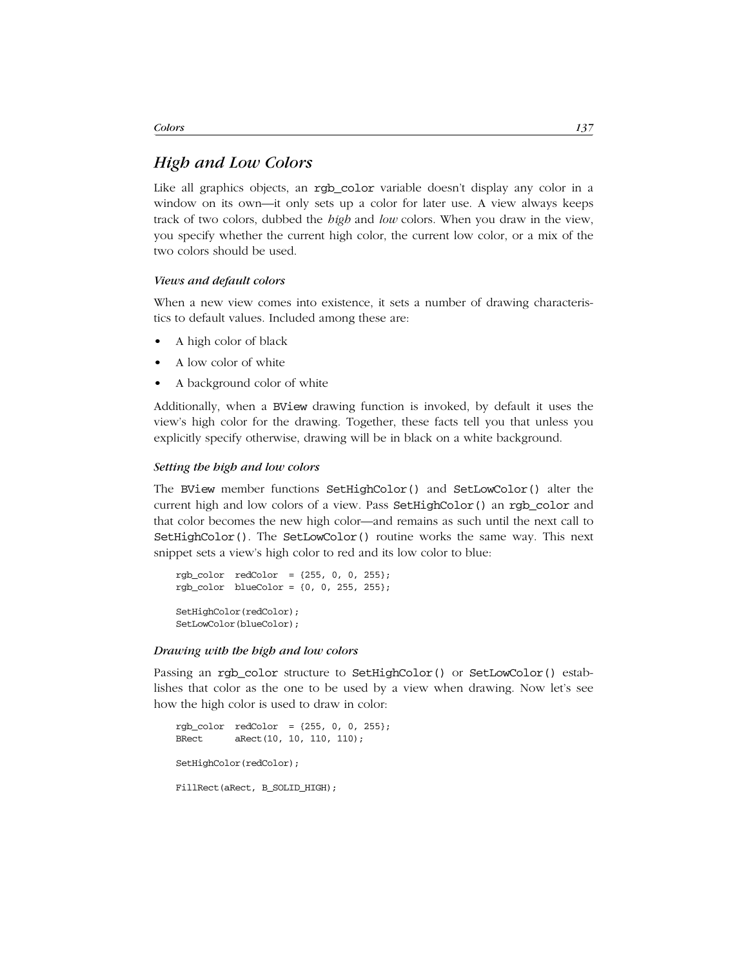# *High and Low Colors*

Like all graphics objects, an rgb\_color variable doesn't display any color in a window on its own—it only sets up a color for later use. A view always keeps track of two colors, dubbed the *high* and *low* colors. When you draw in the view, you specify whether the current high color, the current low color, or a mix of the two colors should be used.

#### *Views and default colors*

When a new view comes into existence, it sets a number of drawing characteristics to default values. Included among these are:

- A high color of black
- A low color of white
- A background color of white

Additionally, when a BView drawing function is invoked, by default it uses the view's high color for the drawing. Together, these facts tell you that unless you explicitly specify otherwise, drawing will be in black on a white background.

#### *Setting the high and low colors*

The BView member functions SetHighColor() and SetLowColor() alter the current high and low colors of a view. Pass SetHighColor() an rgb\_color and that color becomes the new high color—and remains as such until the next call to SetHighColor(). The SetLowColor() routine works the same way. This next snippet sets a view's high color to red and its low color to blue:

```
rgb_color redColor = {255, 0, 0, 255};
rgb_color blueColor = \{0, 0, 255, 255\};
SetHighColor(redColor);
SetLowColor(blueColor);
```
#### *Drawing with the high and low colors*

Passing an rgb\_color structure to SetHighColor() or SetLowColor() establishes that color as the one to be used by a view when drawing. Now let's see how the high color is used to draw in color:

```
rgb_color redColor = {255, 0, 0, 255};
BRect aRect(10, 10, 110, 110);
SetHighColor(redColor);
FillRect(aRect, B_SOLID_HIGH);
```
*Colors 137*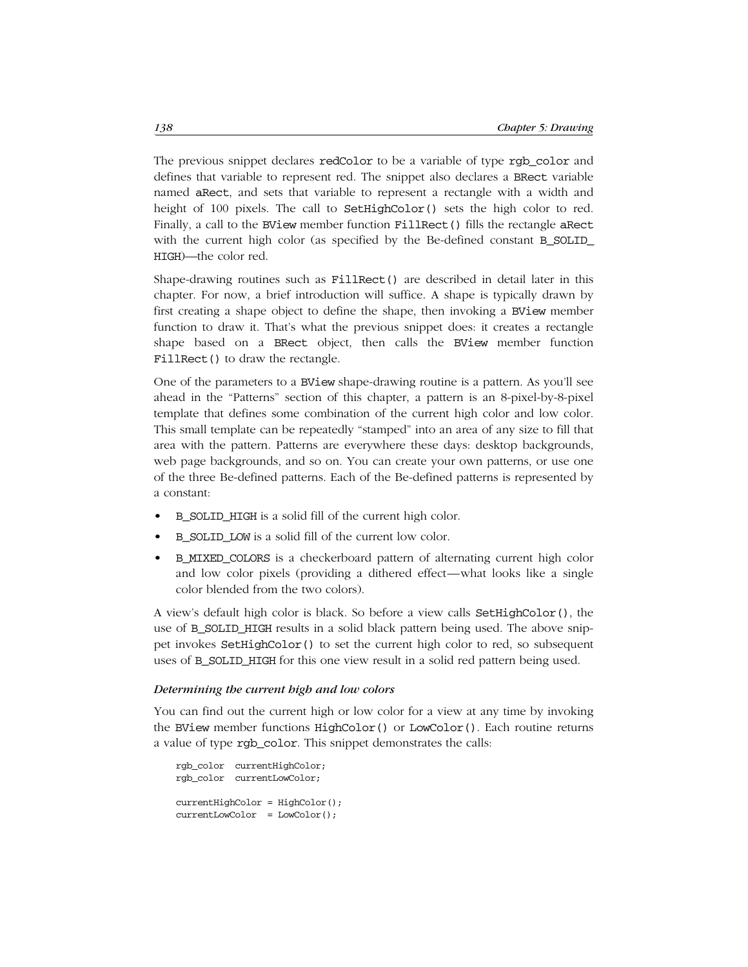The previous snippet declares redColor to be a variable of type rgb\_color and defines that variable to represent red. The snippet also declares a BRect variable named aRect, and sets that variable to represent a rectangle with a width and height of 100 pixels. The call to SetHighColor() sets the high color to red. Finally, a call to the BView member function FillRect() fills the rectangle aRect with the current high color (as specified by the Be-defined constant B\_SOLID\_ HIGH)—the color red.

Shape-drawing routines such as FillRect() are described in detail later in this chapter. For now, a brief introduction will suffice. A shape is typically drawn by first creating a shape object to define the shape, then invoking a BView member function to draw it. That's what the previous snippet does: it creates a rectangle shape based on a BRect object, then calls the BView member function FillRect() to draw the rectangle.

One of the parameters to a BView shape-drawing routine is a pattern. As you'll see ahead in the "Patterns" section of this chapter, a pattern is an 8-pixel-by-8-pixel template that defines some combination of the current high color and low color. This small template can be repeatedly "stamped" into an area of any size to fill that area with the pattern. Patterns are everywhere these days: desktop backgrounds, web page backgrounds, and so on. You can create your own patterns, or use one of the three Be-defined patterns. Each of the Be-defined patterns is represented by a constant:

- B\_SOLID\_HIGH is a solid fill of the current high color.
- B\_SOLID\_LOW is a solid fill of the current low color.
- B\_MIXED\_COLORS is a checkerboard pattern of alternating current high color and low color pixels (providing a dithered effect—what looks like a single color blended from the two colors).

A view's default high color is black. So before a view calls SetHighColor(), the use of **B\_SOLID\_HIGH** results in a solid black pattern being used. The above snippet invokes SetHighColor() to set the current high color to red, so subsequent uses of B\_SOLID\_HIGH for this one view result in a solid red pattern being used.

#### *Determining the current high and low colors*

You can find out the current high or low color for a view at any time by invoking the BView member functions HighColor() or LowColor(). Each routine returns a value of type rgb\_color. This snippet demonstrates the calls:

```
rgb_color currentHighColor;
rgb_color currentLowColor;
currentHighColor = HighColor();
currentLowColor = LowColor();
```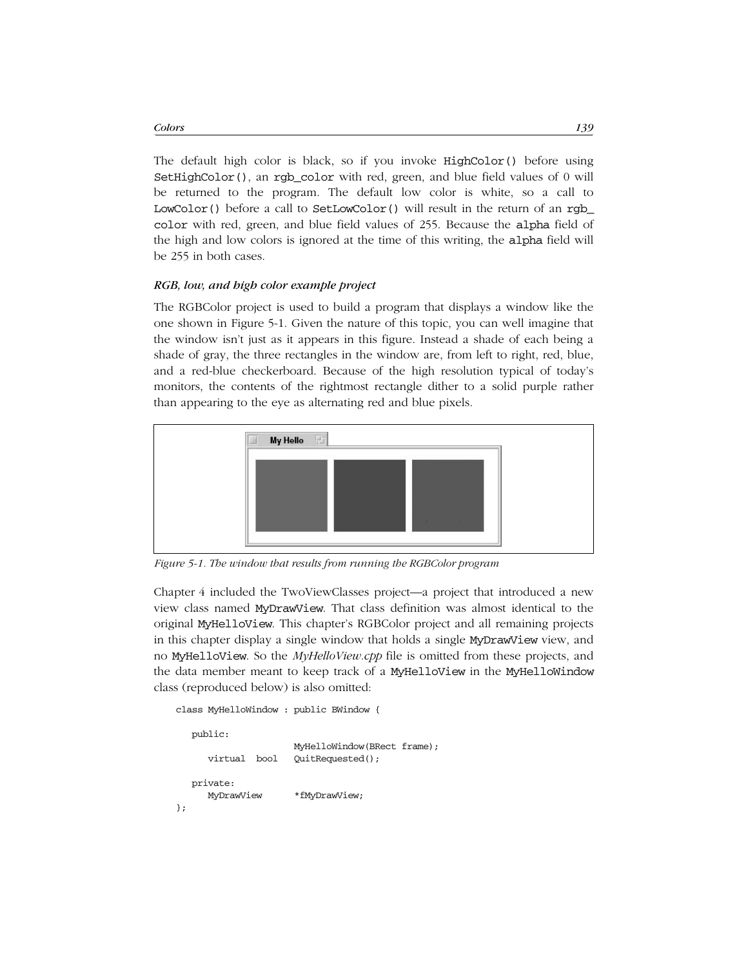The default high color is black, so if you invoke HighColor() before using SetHighColor(), an rgb\_color with red, green, and blue field values of 0 will be returned to the program. The default low color is white, so a call to LowColor() before a call to SetLowColor() will result in the return of an rgb\_ color with red, green, and blue field values of 255. Because the alpha field of the high and low colors is ignored at the time of this writing, the alpha field will be 255 in both cases.

#### *RGB, low, and high color example project*

The RGBColor project is used to build a program that displays a window like the one shown in Figure 5-1. Given the nature of this topic, you can well imagine that the window isn't just as it appears in this figure. Instead a shade of each being a shade of gray, the three rectangles in the window are, from left to right, red, blue, and a red-blue checkerboard. Because of the high resolution typical of today's monitors, the contents of the rightmost rectangle dither to a solid purple rather than appearing to the eye as alternating red and blue pixels.



*Figure 5-1. The window that results from running the RGBColor program*

Chapter 4 included the TwoViewClasses project—a project that introduced a new view class named MyDrawView. That class definition was almost identical to the original MyHelloView. This chapter's RGBColor project and all remaining projects in this chapter display a single window that holds a single MyDrawView view, and no MyHelloView. So the *MyHelloView.cpp* file is omitted from these projects, and the data member meant to keep track of a MyHelloView in the MyHelloWindow class (reproduced below) is also omitted:

```
class MyHelloWindow : public BWindow {
   public:
                       MyHelloWindow(BRect frame);
     virtual bool QuitRequested();
   private:
      MyDrawView *fMyDrawView;
};
```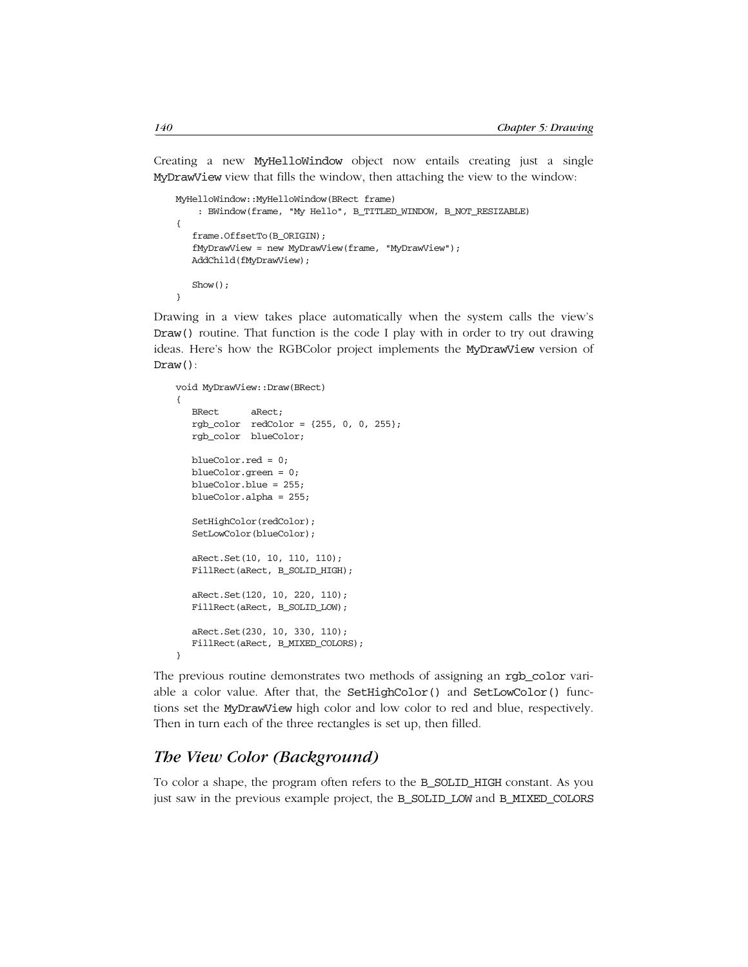Creating a new MyHelloWindow object now entails creating just a single MyDrawView view that fills the window, then attaching the view to the window:

```
MyHelloWindow::MyHelloWindow(BRect frame)
     : BWindow(frame, "My Hello", B_TITLED_WINDOW, B_NOT_RESIZABLE)
{
    frame.OffsetTo(B_ORIGIN);
    fMyDrawView = new MyDrawView(frame, "MyDrawView");
    AddChild(fMyDrawView);
   Show();
}
```
Drawing in a view takes place automatically when the system calls the view's  $Draw()$  routine. That function is the code I play with in order to try out drawing ideas. Here's how the RGBColor project implements the MyDrawView version of Draw():

```
void MyDrawView::Draw(BRect)
{
    BRect aRect;
    rgb_color redColor = {255, 0, 0, 255};
    rgb_color blueColor;
    blueColor.red = 0;
    blueColor.green = 0;
    blueColor.blue = 255;
    blueColor.alpha = 255;
   SetHighColor(redColor);
   SetLowColor(blueColor);
    aRect.Set(10, 10, 110, 110);
    FillRect(aRect, B_SOLID_HIGH);
    aRect.Set(120, 10, 220, 110);
    FillRect(aRect, B_SOLID_LOW);
    aRect.Set(230, 10, 330, 110);
    FillRect(aRect, B_MIXED_COLORS);
}
```
The previous routine demonstrates two methods of assigning an rgb\_color variable a color value. After that, the SetHighColor() and SetLowColor() functions set the MyDrawView high color and low color to red and blue, respectively. Then in turn each of the three rectangles is set up, then filled.

# *The View Color (Background)*

To color a shape, the program often refers to the B\_SOLID\_HIGH constant. As you just saw in the previous example project, the B\_SOLID\_LOW and B\_MIXED\_COLORS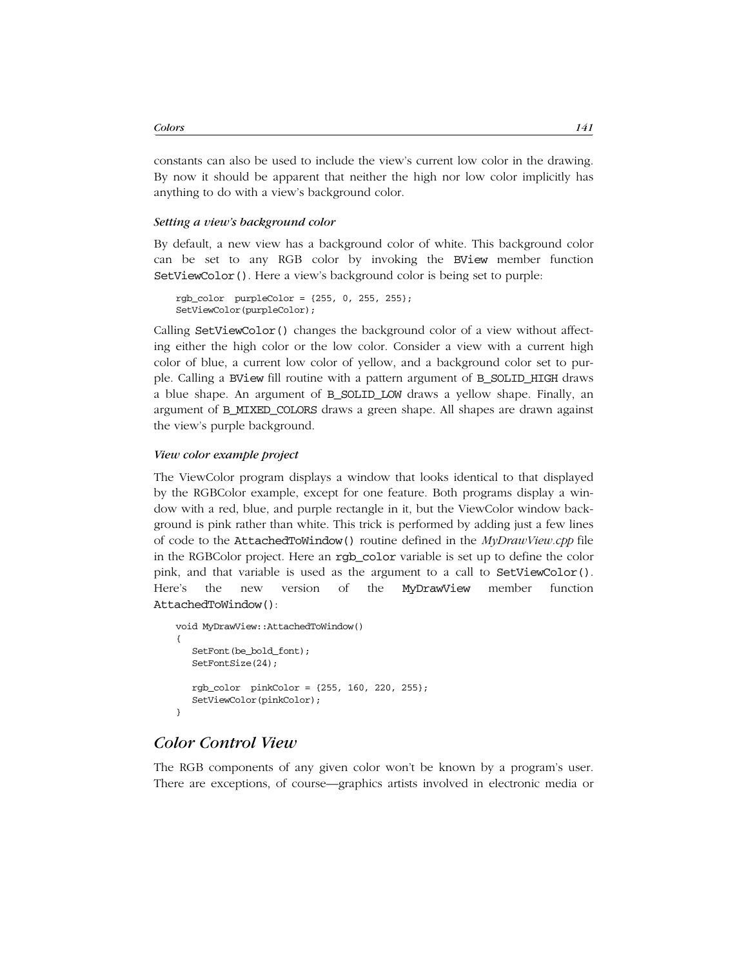constants can also be used to include the view's current low color in the drawing. By now it should be apparent that neither the high nor low color implicitly has anything to do with a view's background color.

#### *Setting a view's background color*

By default, a new view has a background color of white. This background color can be set to any RGB color by invoking the BView member function SetViewColor(). Here a view's background color is being set to purple:

```
rgb_color purpleColor = {255, 0, 255, 255};
SetViewColor(purpleColor);
```
Calling SetViewColor() changes the background color of a view without affecting either the high color or the low color. Consider a view with a current high color of blue, a current low color of yellow, and a background color set to purple. Calling a BView fill routine with a pattern argument of B\_SOLID\_HIGH draws a blue shape. An argument of B\_SOLID\_LOW draws a yellow shape. Finally, an argument of B\_MIXED\_COLORS draws a green shape. All shapes are drawn against the view's purple background.

#### *View color example project*

The ViewColor program displays a window that looks identical to that displayed by the RGBColor example, except for one feature. Both programs display a window with a red, blue, and purple rectangle in it, but the ViewColor window background is pink rather than white. This trick is performed by adding just a few lines of code to the AttachedToWindow() routine defined in the *MyDrawView.cpp* file in the RGBColor project. Here an rgb\_color variable is set up to define the color pink, and that variable is used as the argument to a call to SetViewColor(). Here's the new version of the MyDrawView member function AttachedToWindow():

```
void MyDrawView::AttachedToWindow()
{
   SetFont(be_bold_font);
   SetFontSize(24);
    rgb_color pinkColor = {255, 160, 220, 255};
   SetViewColor(pinkColor);
}
```
# *Color Control View*

The RGB components of any given color won't be known by a program's user. There are exceptions, of course—graphics artists involved in electronic media or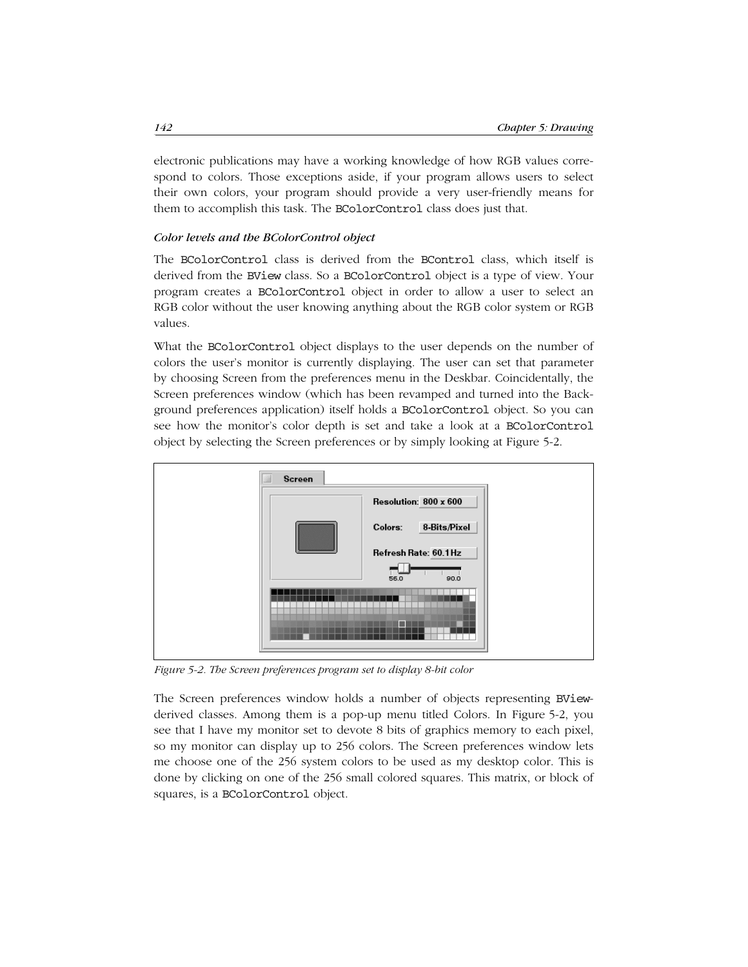electronic publications may have a working knowledge of how RGB values correspond to colors. Those exceptions aside, if your program allows users to select their own colors, your program should provide a very user-friendly means for them to accomplish this task. The BColorControl class does just that.

#### *Color levels and the BColorControl object*

The BColorControl class is derived from the BControl class, which itself is derived from the BView class. So a BColorControl object is a type of view. Your program creates a BColorControl object in order to allow a user to select an RGB color without the user knowing anything about the RGB color system or RGB values.

What the BColorControl object displays to the user depends on the number of colors the user's monitor is currently displaying. The user can set that parameter by choosing Screen from the preferences menu in the Deskbar. Coincidentally, the Screen preferences window (which has been revamped and turned into the Background preferences application) itself holds a BColorControl object. So you can see how the monitor's color depth is set and take a look at a BColorControl object by selecting the Screen preferences or by simply looking at Figure 5-2.



*Figure 5-2. The Screen preferences program set to display 8-bit color*

The Screen preferences window holds a number of objects representing BViewderived classes. Among them is a pop-up menu titled Colors. In Figure 5-2, you see that I have my monitor set to devote 8 bits of graphics memory to each pixel, so my monitor can display up to 256 colors. The Screen preferences window lets me choose one of the 256 system colors to be used as my desktop color. This is done by clicking on one of the 256 small colored squares. This matrix, or block of squares, is a BColorControl object.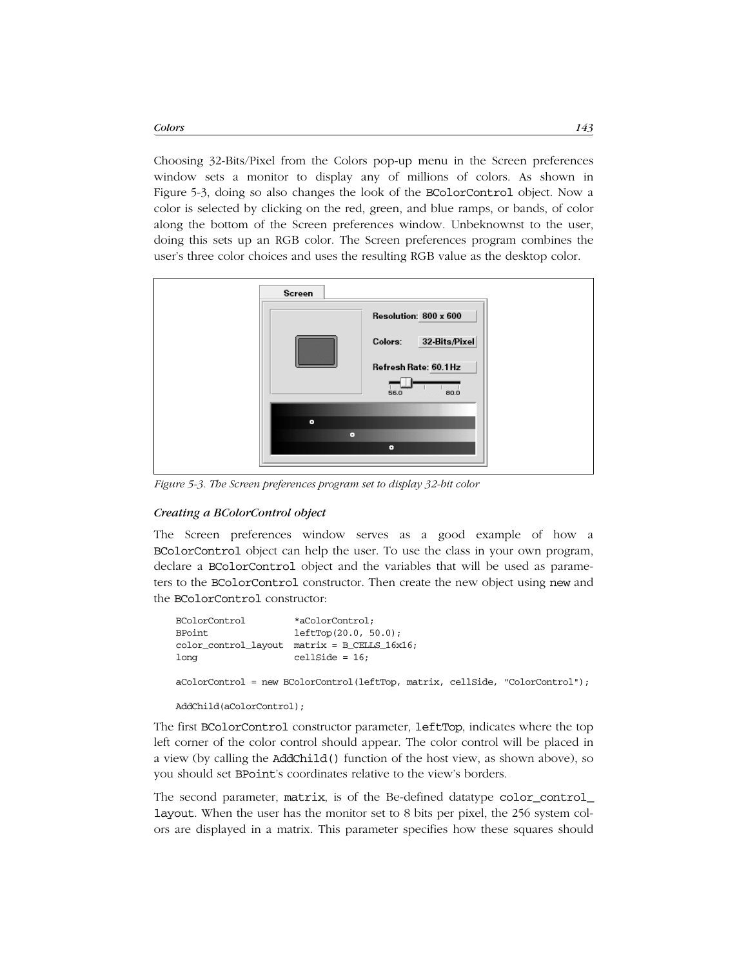Choosing 32-Bits/Pixel from the Colors pop-up menu in the Screen preferences window sets a monitor to display any of millions of colors. As shown in Figure 5-3, doing so also changes the look of the BColorControl object. Now a color is selected by clicking on the red, green, and blue ramps, or bands, of color along the bottom of the Screen preferences window. Unbeknownst to the user, doing this sets up an RGB color. The Screen preferences program combines the user's three color choices and uses the resulting RGB value as the desktop color.



*Figure 5-3. The Screen preferences program set to display 32-bit color*

#### *Creating a BColorControl object*

The Screen preferences window serves as a good example of how a BColorControl object can help the user. To use the class in your own program, declare a BColorControl object and the variables that will be used as parameters to the BColorControl constructor. Then create the new object using new and the BColorControl constructor:

| BColorControl<br>BPoint<br>long | *aColorControl;<br>leftTop(20.0, 50.0);<br>$color$ color control layout matrix = B CELLS $16x16$ ;<br>$cellSide = 16$ |  |
|---------------------------------|-----------------------------------------------------------------------------------------------------------------------|--|
|                                 | aColorControl = new BColorControl(leftTop, matrix, cellSide, "ColorControl");                                         |  |
| AddChild(aColorControl);        |                                                                                                                       |  |

The first BColorControl constructor parameter, leftTop, indicates where the top left corner of the color control should appear. The color control will be placed in a view (by calling the AddChild() function of the host view, as shown above), so you should set BPoint's coordinates relative to the view's borders.

The second parameter, matrix, is of the Be-defined datatype color\_control\_ layout. When the user has the monitor set to 8 bits per pixel, the 256 system colors are displayed in a matrix. This parameter specifies how these squares should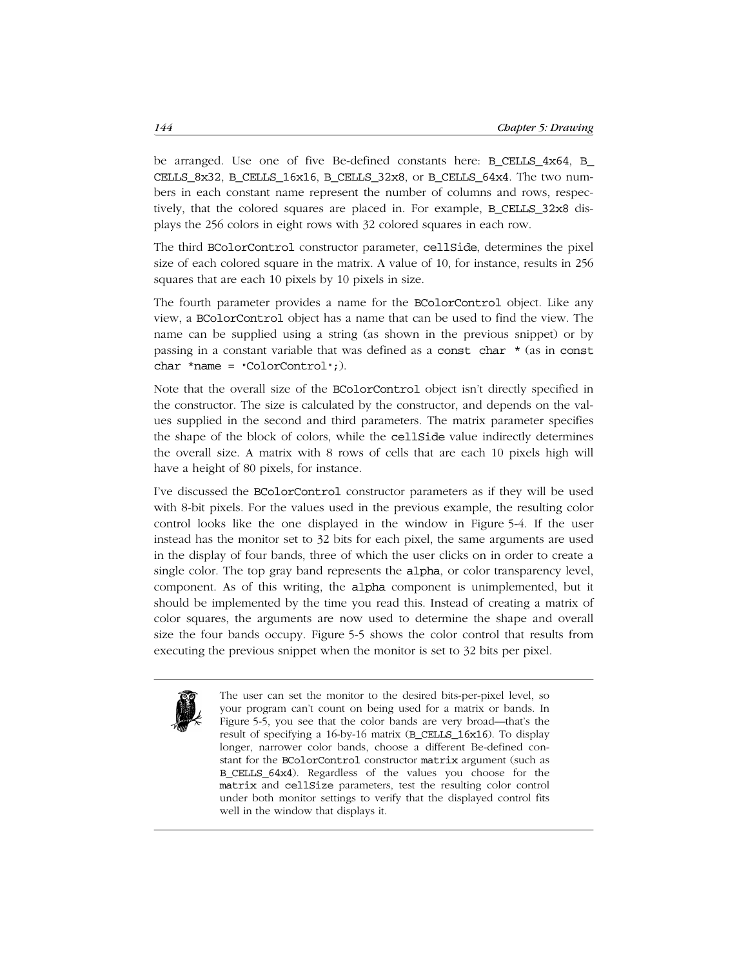be arranged. Use one of five Be-defined constants here: B\_CELLS\_4x64, B\_ CELLS  $8x32$ , B\_CELLS\_16x16, B\_CELLS\_32x8, or B\_CELLS\_64x4. The two numbers in each constant name represent the number of columns and rows, respectively, that the colored squares are placed in. For example, B\_CELLS\_32x8 displays the 256 colors in eight rows with 32 colored squares in each row.

The third BColorControl constructor parameter, cellSide, determines the pixel size of each colored square in the matrix. A value of 10, for instance, results in 256 squares that are each 10 pixels by 10 pixels in size.

The fourth parameter provides a name for the BColorControl object. Like any view, a BColorControl object has a name that can be used to find the view. The name can be supplied using a string (as shown in the previous snippet) or by passing in a constant variable that was defined as a const char  $\star$  (as in const char  $*$ name = "ColorControl";).

Note that the overall size of the BColorControl object isn't directly specified in the constructor. The size is calculated by the constructor, and depends on the values supplied in the second and third parameters. The matrix parameter specifies the shape of the block of colors, while the cellSide value indirectly determines the overall size. A matrix with 8 rows of cells that are each 10 pixels high will have a height of 80 pixels, for instance.

I've discussed the BColorControl constructor parameters as if they will be used with 8-bit pixels. For the values used in the previous example, the resulting color control looks like the one displayed in the window in Figure 5-4. If the user instead has the monitor set to 32 bits for each pixel, the same arguments are used in the display of four bands, three of which the user clicks on in order to create a single color. The top gray band represents the alpha, or color transparency level, component. As of this writing, the alpha component is unimplemented, but it should be implemented by the time you read this. Instead of creating a matrix of color squares, the arguments are now used to determine the shape and overall size the four bands occupy. Figure 5-5 shows the color control that results from executing the previous snippet when the monitor is set to 32 bits per pixel.



The user can set the monitor to the desired bits-per-pixel level, so your program can't count on being used for a matrix or bands. In Figure 5-5, you see that the color bands are very broad—that's the result of specifying a 16-by-16 matrix (B\_CELLS\_16x16). To display longer, narrower color bands, choose a different Be-defined constant for the BColorControl constructor matrix argument (such as B\_CELLS\_64x4). Regardless of the values you choose for the matrix and cellSize parameters, test the resulting color control under both monitor settings to verify that the displayed control fits well in the window that displays it.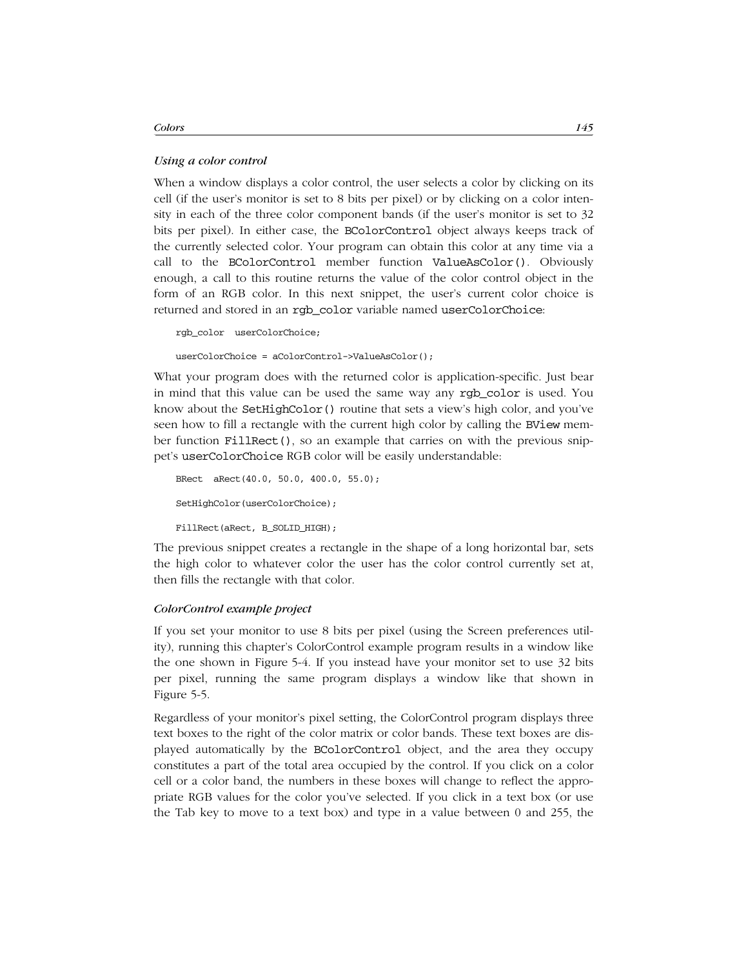#### *Using a color control*

When a window displays a color control, the user selects a color by clicking on its cell (if the user's monitor is set to 8 bits per pixel) or by clicking on a color intensity in each of the three color component bands (if the user's monitor is set to 32 bits per pixel). In either case, the BColorControl object always keeps track of the currently selected color. Your program can obtain this color at any time via a call to the BColorControl member function ValueAsColor(). Obviously enough, a call to this routine returns the value of the color control object in the form of an RGB color. In this next snippet, the user's current color choice is returned and stored in an rgb\_color variable named userColorChoice:

```
rgb_color userColorChoice;
```
userColorChoice = aColorControl->ValueAsColor();

What your program does with the returned color is application-specific. Just bear in mind that this value can be used the same way any rgb\_color is used. You know about the SetHighColor() routine that sets a view's high color, and you've seen how to fill a rectangle with the current high color by calling the BView member function FillRect(), so an example that carries on with the previous snippet's userColorChoice RGB color will be easily understandable:

```
BRect aRect(40.0, 50.0, 400.0, 55.0);
SetHighColor(userColorChoice);
FillRect(aRect, B_SOLID_HIGH);
```
The previous snippet creates a rectangle in the shape of a long horizontal bar, sets the high color to whatever color the user has the color control currently set at, then fills the rectangle with that color.

#### *ColorControl example project*

If you set your monitor to use 8 bits per pixel (using the Screen preferences utility), running this chapter's ColorControl example program results in a window like the one shown in Figure 5-4. If you instead have your monitor set to use 32 bits per pixel, running the same program displays a window like that shown in Figure 5-5.

Regardless of your monitor's pixel setting, the ColorControl program displays three text boxes to the right of the color matrix or color bands. These text boxes are displayed automatically by the BColorControl object, and the area they occupy constitutes a part of the total area occupied by the control. If you click on a color cell or a color band, the numbers in these boxes will change to reflect the appropriate RGB values for the color you've selected. If you click in a text box (or use the Tab key to move to a text box) and type in a value between 0 and 255, the

*Colors 145*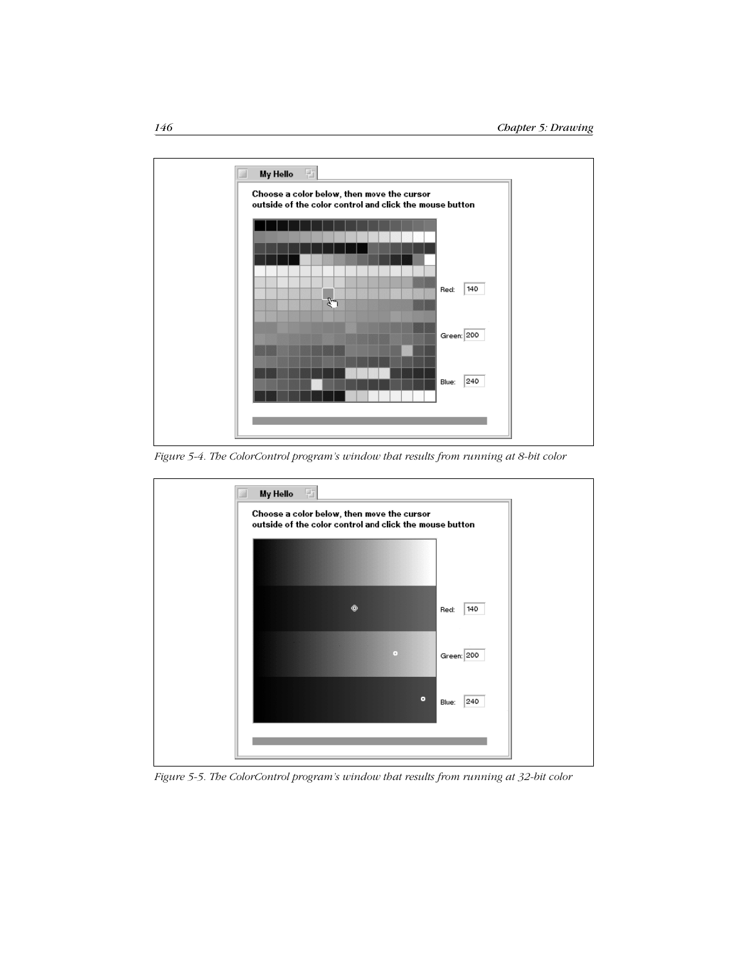

*Figure 5-4. The ColorControl program's window that results from running at 8-bit color*



*Figure 5-5. The ColorControl program's window that results from running at 32-bit color*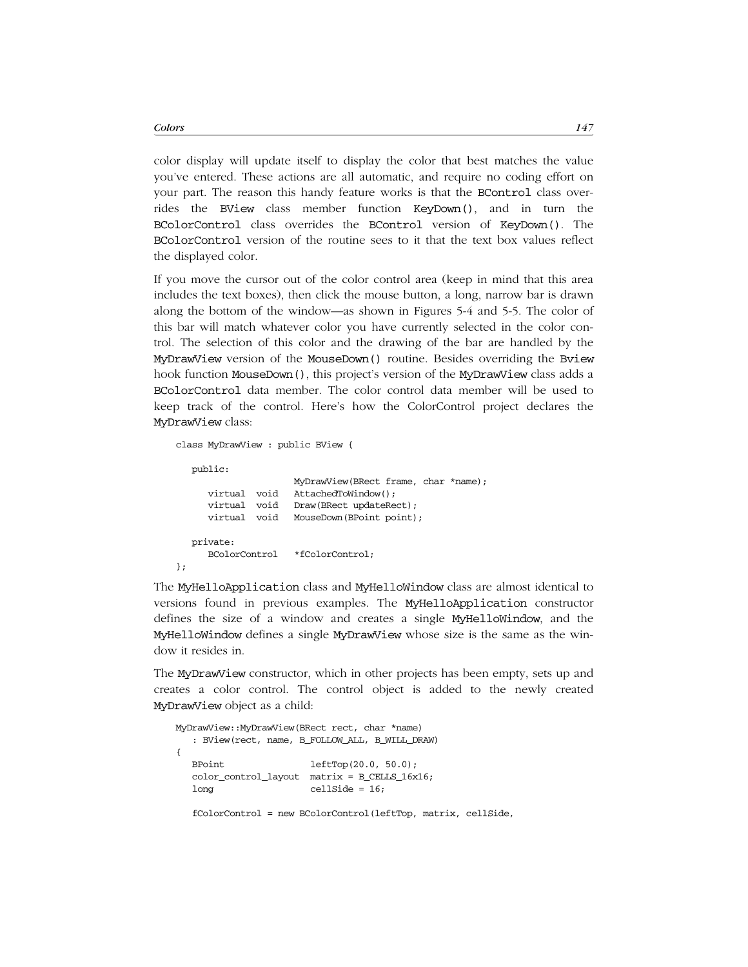color display will update itself to display the color that best matches the value you've entered. These actions are all automatic, and require no coding effort on your part. The reason this handy feature works is that the BControl class overrides the BView class member function KeyDown(), and in turn the BColorControl class overrides the BControl version of KeyDown(). The BColorControl version of the routine sees to it that the text box values reflect the displayed color.

If you move the cursor out of the color control area (keep in mind that this area includes the text boxes), then click the mouse button, a long, narrow bar is drawn along the bottom of the window—as shown in Figures 5-4 and 5-5. The color of this bar will match whatever color you have currently selected in the color control. The selection of this color and the drawing of the bar are handled by the MyDrawView version of the MouseDown() routine. Besides overriding the Bview hook function MouseDown(), this project's version of the MyDrawView class adds a BColorControl data member. The color control data member will be used to keep track of the control. Here's how the ColorControl project declares the MyDrawView class:

class MyDrawView : public BView {

```
 public:
                      MyDrawView(BRect frame, char *name);
      virtual void AttachedToWindow();
      virtual void Draw(BRect updateRect);
      virtual void MouseDown(BPoint point);
   private:
      BColorControl *fColorControl;
};
```
The MyHelloApplication class and MyHelloWindow class are almost identical to versions found in previous examples. The MyHelloApplication constructor defines the size of a window and creates a single MyHelloWindow, and the MyHelloWindow defines a single MyDrawView whose size is the same as the window it resides in.

The MyDrawView constructor, which in other projects has been empty, sets up and creates a color control. The control object is added to the newly created MyDrawView object as a child:

```
MyDrawView::MyDrawView(BRect rect, char *name)
   : BView(rect, name, B_FOLLOW_ALL, B_WILL_DRAW)
{
   BPoint leftTop(20.0, 50.0);
   color_control_layout matrix = B_CELLS_16x16;
  long cellSide = 16;
   fColorControl = new BColorControl(leftTop, matrix, cellSide,
```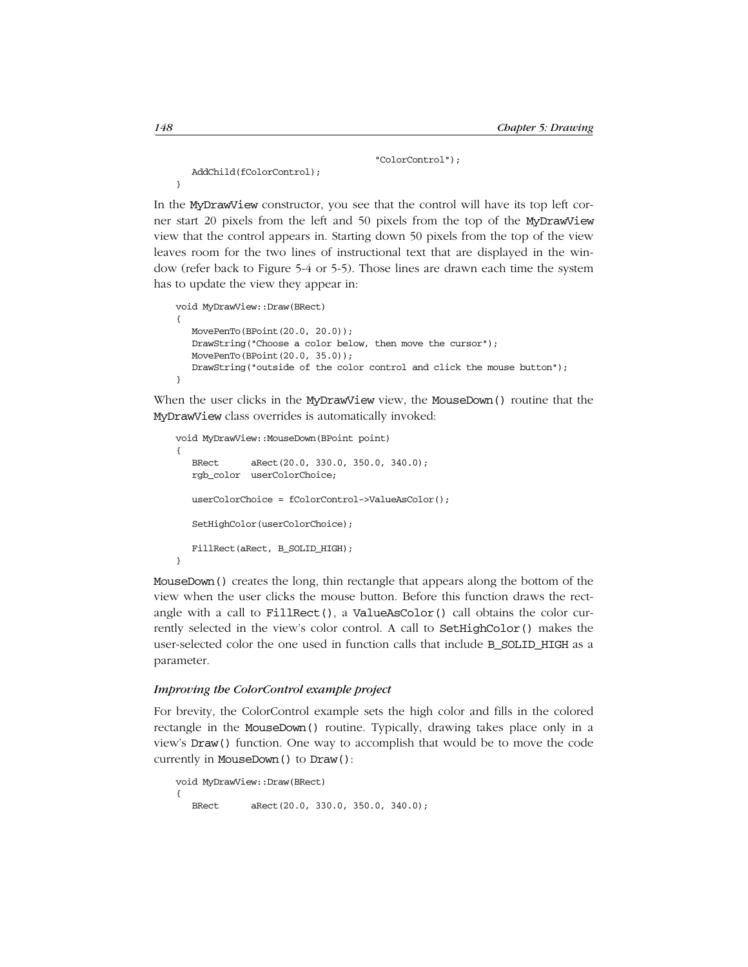AddChild(fColorControl);

In the MyDrawView constructor, you see that the control will have its top left corner start 20 pixels from the left and 50 pixels from the top of the MyDrawView view that the control appears in. Starting down 50 pixels from the top of the view leaves room for the two lines of instructional text that are displayed in the window (refer back to Figure 5-4 or 5-5). Those lines are drawn each time the system has to update the view they appear in:

"ColorControl");

```
void MyDrawView::Draw(BRect)
{
   MovePenTo(BPoint(20.0, 20.0));
   DrawString("Choose a color below, then move the cursor");
  MovePenTo(BPoint(20.0, 35.0));
    DrawString("outside of the color control and click the mouse button");
}
```
When the user clicks in the MyDrawView view, the MouseDown() routine that the MyDrawView class overrides is automatically invoked:

```
void MyDrawView::MouseDown(BPoint point)
{
    BRect aRect(20.0, 330.0, 350.0, 340.0);
   rgb_color userColorChoice;
    userColorChoice = fColorControl->ValueAsColor();
    SetHighColor(userColorChoice);
    FillRect(aRect, B_SOLID_HIGH);
}
```
MouseDown() creates the long, thin rectangle that appears along the bottom of the view when the user clicks the mouse button. Before this function draws the rectangle with a call to FillRect(), a ValueAsColor() call obtains the color currently selected in the view's color control. A call to SetHighColor() makes the user-selected color the one used in function calls that include B\_SOLID\_HIGH as a parameter.

#### *Improving the ColorControl example project*

For brevity, the ColorControl example sets the high color and fills in the colored rectangle in the MouseDown() routine. Typically, drawing takes place only in a view's Draw() function. One way to accomplish that would be to move the code currently in MouseDown() to Draw():

```
void MyDrawView::Draw(BRect)
{
   BRect aRect(20.0, 330.0, 350.0, 340.0);
```
}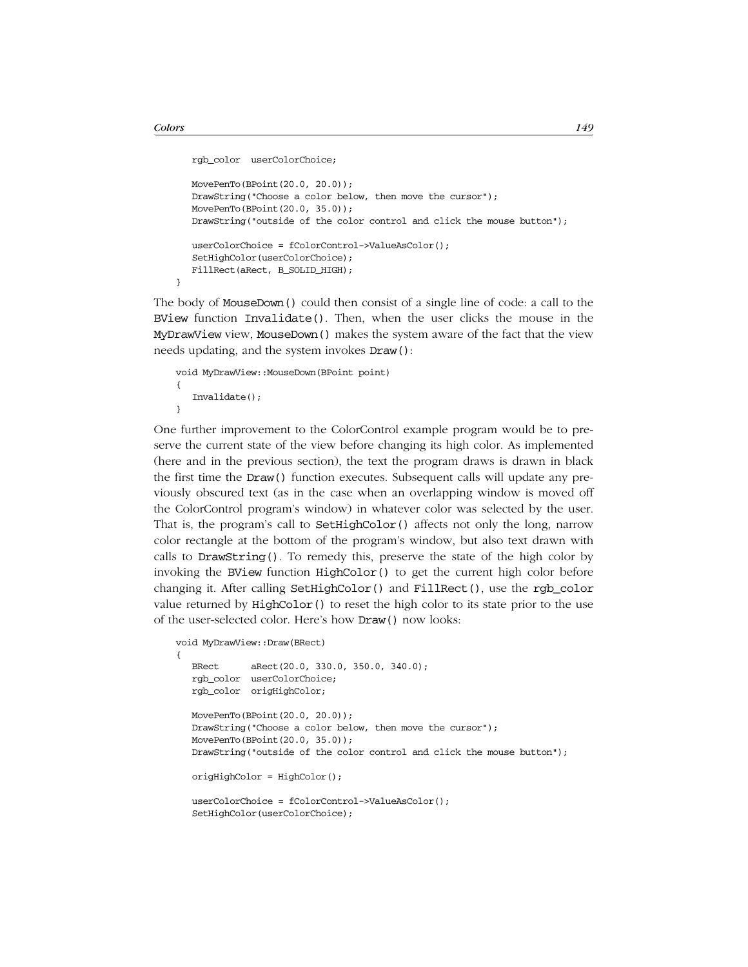*Colors 149*

}

```
 rgb_color userColorChoice;
MovePenTo(BPoint(20.0, 20.0));
 DrawString("Choose a color below, then move the cursor");
 MovePenTo(BPoint(20.0, 35.0));
 DrawString("outside of the color control and click the mouse button");
 userColorChoice = fColorControl->ValueAsColor();
 SetHighColor(userColorChoice);
 FillRect(aRect, B_SOLID_HIGH);
```
The body of MouseDown() could then consist of a single line of code: a call to the BView function Invalidate(). Then, when the user clicks the mouse in the MyDrawView view, MouseDown() makes the system aware of the fact that the view needs updating, and the system invokes Draw():

```
void MyDrawView::MouseDown(BPoint point)
{
    Invalidate();
}
```
One further improvement to the ColorControl example program would be to preserve the current state of the view before changing its high color. As implemented (here and in the previous section), the text the program draws is drawn in black the first time the Draw() function executes. Subsequent calls will update any previously obscured text (as in the case when an overlapping window is moved off the ColorControl program's window) in whatever color was selected by the user. That is, the program's call to SetHighColor() affects not only the long, narrow color rectangle at the bottom of the program's window, but also text drawn with calls to DrawString(). To remedy this, preserve the state of the high color by invoking the BView function HighColor() to get the current high color before changing it. After calling SetHighColor() and FillRect(), use the rgb\_color value returned by HighColor() to reset the high color to its state prior to the use of the user-selected color. Here's how Draw() now looks:

```
void MyDrawView::Draw(BRect)
{
    BRect aRect(20.0, 330.0, 350.0, 340.0);
   rgb_color userColorChoice;
   rgb_color origHighColor;
   MovePenTo(BPoint(20.0, 20.0));
    DrawString("Choose a color below, then move the cursor");
   MovePenTo(BPoint(20.0, 35.0));
   DrawString("outside of the color control and click the mouse button");
    origHighColor = HighColor();
    userColorChoice = fColorControl->ValueAsColor();
    SetHighColor(userColorChoice);
```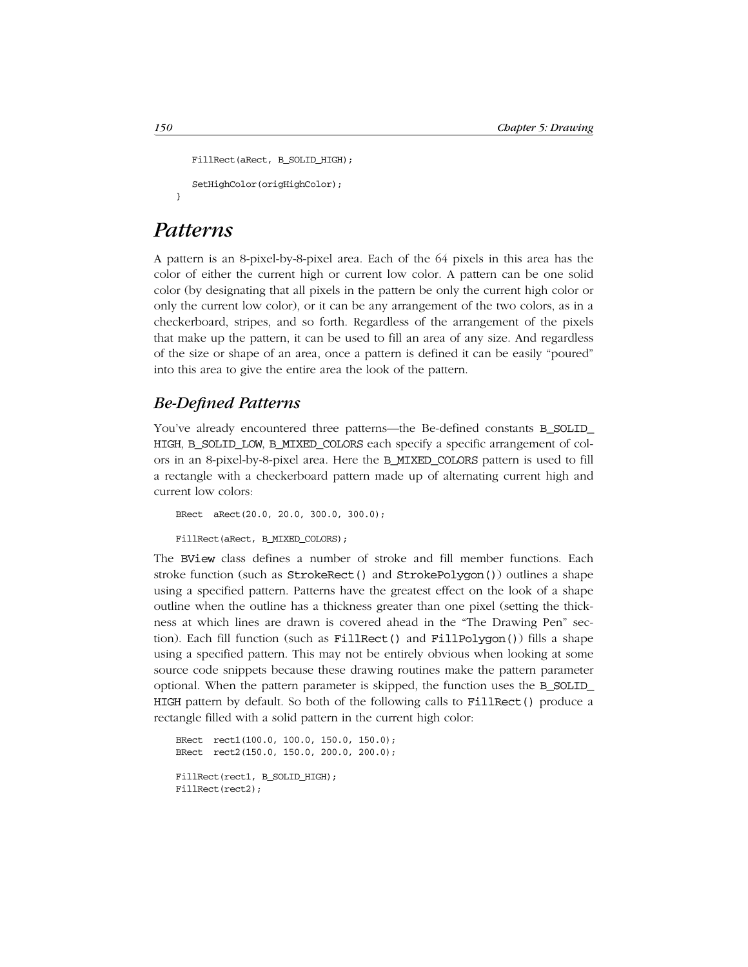```
 FillRect(aRect, B_SOLID_HIGH);
   SetHighColor(origHighColor);
}
```
# *Patterns*

A pattern is an 8-pixel-by-8-pixel area. Each of the 64 pixels in this area has the color of either the current high or current low color. A pattern can be one solid color (by designating that all pixels in the pattern be only the current high color or only the current low color), or it can be any arrangement of the two colors, as in a checkerboard, stripes, and so forth. Regardless of the arrangement of the pixels that make up the pattern, it can be used to fill an area of any size. And regardless of the size or shape of an area, once a pattern is defined it can be easily "poured" into this area to give the entire area the look of the pattern.

# *Be-Defined Patterns*

You've already encountered three patterns—the Be-defined constants B\_SOLID\_ HIGH, B\_SOLID\_LOW, B\_MIXED\_COLORS each specify a specific arrangement of colors in an 8-pixel-by-8-pixel area. Here the B\_MIXED\_COLORS pattern is used to fill a rectangle with a checkerboard pattern made up of alternating current high and current low colors:

```
BRect aRect(20.0, 20.0, 300.0, 300.0);
FillRect(aRect, B_MIXED_COLORS);
```
The BView class defines a number of stroke and fill member functions. Each stroke function (such as StrokeRect() and StrokePolygon()) outlines a shape using a specified pattern. Patterns have the greatest effect on the look of a shape outline when the outline has a thickness greater than one pixel (setting the thickness at which lines are drawn is covered ahead in the "The Drawing Pen" section). Each fill function (such as FillRect() and FillPolygon()) fills a shape using a specified pattern. This may not be entirely obvious when looking at some source code snippets because these drawing routines make the pattern parameter optional. When the pattern parameter is skipped, the function uses the B\_SOLID\_ HIGH pattern by default. So both of the following calls to FillRect() produce a rectangle filled with a solid pattern in the current high color:

```
BRect rect1(100.0, 100.0, 150.0, 150.0);
BRect rect2(150.0, 150.0, 200.0, 200.0);
FillRect(rect1, B_SOLID_HIGH);
FillRect(rect2);
```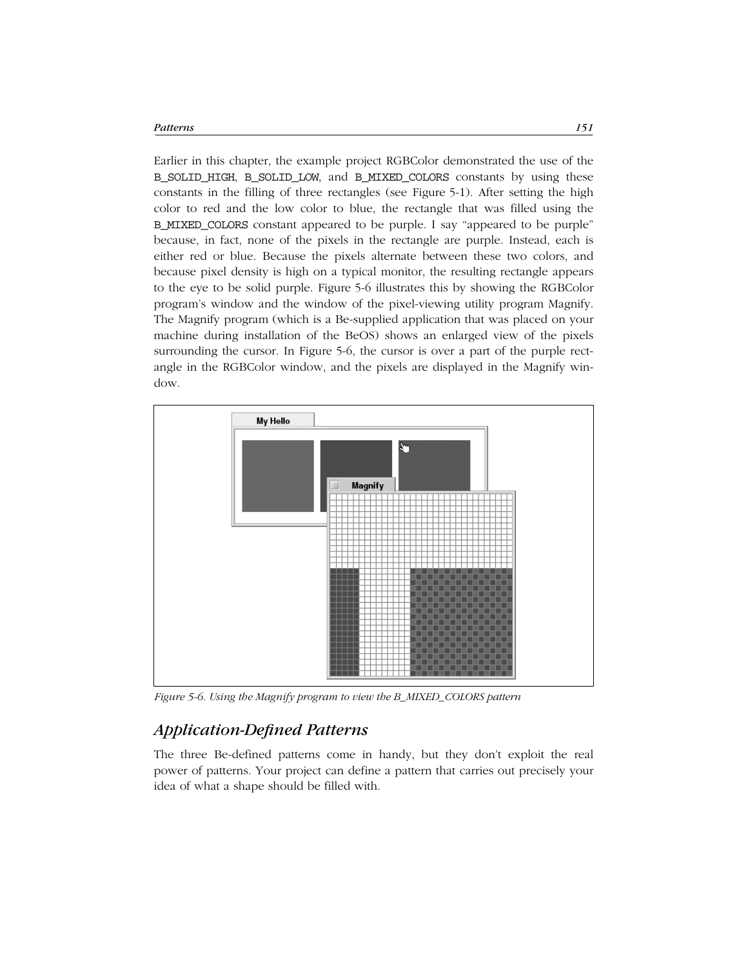#### *Patterns 151*

Earlier in this chapter, the example project RGBColor demonstrated the use of the B\_SOLID\_HIGH, B\_SOLID\_LOW, and B\_MIXED\_COLORS constants by using these constants in the filling of three rectangles (see Figure 5-1). After setting the high color to red and the low color to blue, the rectangle that was filled using the B\_MIXED\_COLORS constant appeared to be purple. I say "appeared to be purple" because, in fact, none of the pixels in the rectangle are purple. Instead, each is either red or blue. Because the pixels alternate between these two colors, and because pixel density is high on a typical monitor, the resulting rectangle appears to the eye to be solid purple. Figure 5-6 illustrates this by showing the RGBColor program's window and the window of the pixel-viewing utility program Magnify. The Magnify program (which is a Be-supplied application that was placed on your machine during installation of the BeOS) shows an enlarged view of the pixels surrounding the cursor. In Figure 5-6, the cursor is over a part of the purple rectangle in the RGBColor window, and the pixels are displayed in the Magnify window.



*Figure 5-6. Using the Magnify program to view the B\_MIXED\_COLORS pattern*

# *Application-Defined Patterns*

The three Be-defined patterns come in handy, but they don't exploit the real power of patterns. Your project can define a pattern that carries out precisely your idea of what a shape should be filled with.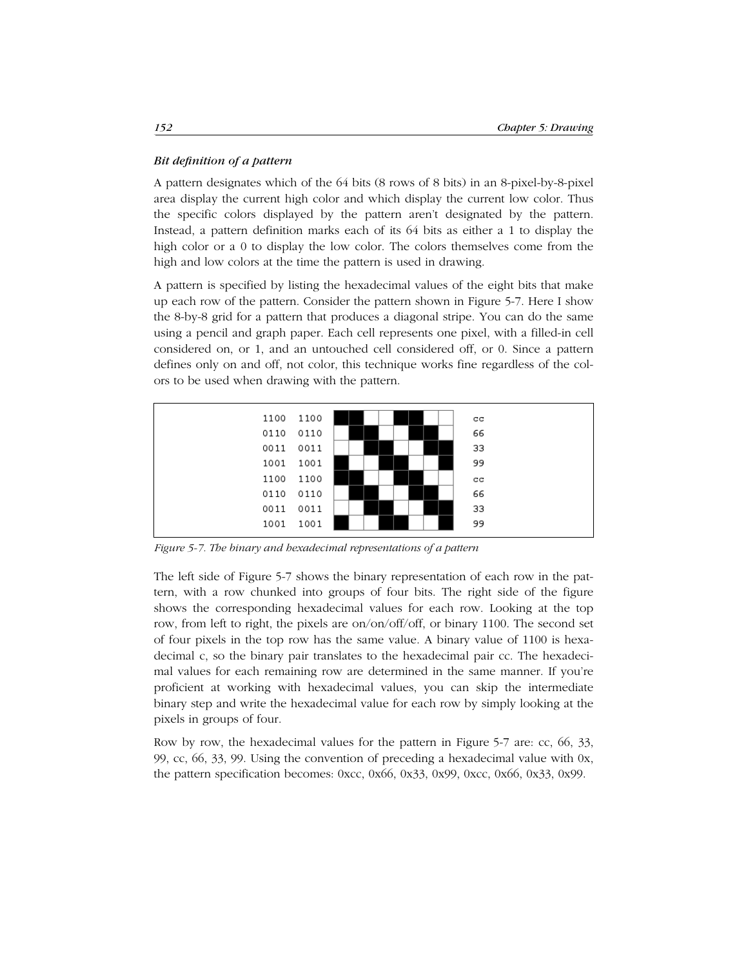#### *Bit definition of a pattern*

A pattern designates which of the 64 bits (8 rows of 8 bits) in an 8-pixel-by-8-pixel area display the current high color and which display the current low color. Thus the specific colors displayed by the pattern aren't designated by the pattern. Instead, a pattern definition marks each of its 64 bits as either a 1 to display the high color or a 0 to display the low color. The colors themselves come from the high and low colors at the time the pattern is used in drawing.

A pattern is specified by listing the hexadecimal values of the eight bits that make up each row of the pattern. Consider the pattern shown in Figure 5-7. Here I show the 8-by-8 grid for a pattern that produces a diagonal stripe. You can do the same using a pencil and graph paper. Each cell represents one pixel, with a filled-in cell considered on, or 1, and an untouched cell considered off, or 0. Since a pattern defines only on and off, not color, this technique works fine regardless of the colors to be used when drawing with the pattern.



*Figure 5-7. The binary and hexadecimal representations of a pattern*

The left side of Figure 5-7 shows the binary representation of each row in the pattern, with a row chunked into groups of four bits. The right side of the figure shows the corresponding hexadecimal values for each row. Looking at the top row, from left to right, the pixels are on/on/off/off, or binary 1100. The second set of four pixels in the top row has the same value. A binary value of 1100 is hexadecimal c, so the binary pair translates to the hexadecimal pair cc. The hexadecimal values for each remaining row are determined in the same manner. If you're proficient at working with hexadecimal values, you can skip the intermediate binary step and write the hexadecimal value for each row by simply looking at the pixels in groups of four.

Row by row, the hexadecimal values for the pattern in Figure 5-7 are: cc, 66, 33, 99, cc, 66, 33, 99. Using the convention of preceding a hexadecimal value with 0x, the pattern specification becomes: 0xcc, 0x66, 0x33, 0x99, 0xcc, 0x66, 0x33, 0x99.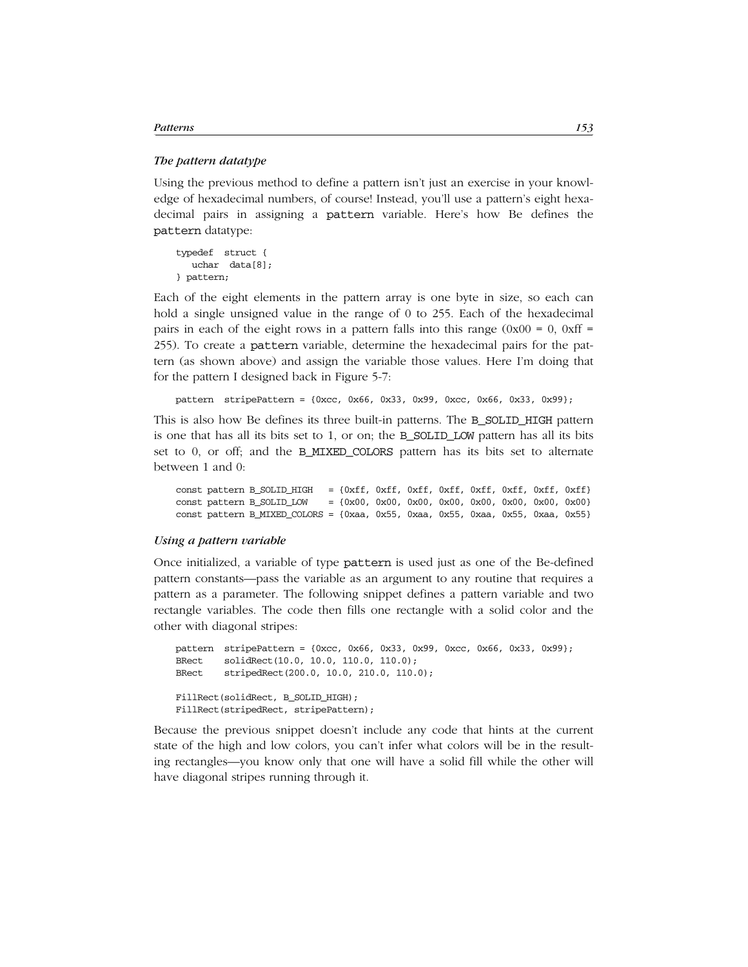#### *The pattern datatype*

Using the previous method to define a pattern isn't just an exercise in your knowledge of hexadecimal numbers, of course! Instead, you'll use a pattern's eight hexadecimal pairs in assigning a pattern variable. Here's how Be defines the pattern datatype:

typedef struct { uchar data[8]; } pattern;

Each of the eight elements in the pattern array is one byte in size, so each can hold a single unsigned value in the range of 0 to 255. Each of the hexadecimal pairs in each of the eight rows in a pattern falls into this range  $(0x00 = 0, 0xff =$ 255). To create a pattern variable, determine the hexadecimal pairs for the pattern (as shown above) and assign the variable those values. Here I'm doing that for the pattern I designed back in Figure 5-7:

```
pattern stripePattern = {0xcc, 0x66, 0x33, 0x99, 0xcc, 0x66, 0x33, 0x99};
```
This is also how Be defines its three built-in patterns. The B\_SOLID\_HIGH pattern is one that has all its bits set to 1, or on; the B\_SOLID\_LOW pattern has all its bits set to 0, or off; and the B\_MIXED\_COLORS pattern has its bits set to alternate between 1 and 0:

| const pattern B SOLID HIGH                                                      |  | $=$ {0xff, 0xff, 0xff, 0xff, 0xff, 0xff, 0xff, 0xff}   |  |  |  |  |
|---------------------------------------------------------------------------------|--|--------------------------------------------------------|--|--|--|--|
| const pattern B SOLID LOW                                                       |  | $= \{0x00, 0x00, 0x00, 0x00, 0x00, 0x00, 0x00, 0x00\}$ |  |  |  |  |
| const pattern B_MIXED_COLORS = {0xaa, 0x55, 0xaa, 0x55, 0xaa, 0x55, 0xaa, 0x55} |  |                                                        |  |  |  |  |

#### *Using a pattern variable*

Once initialized, a variable of type pattern is used just as one of the Be-defined pattern constants—pass the variable as an argument to any routine that requires a pattern as a parameter. The following snippet defines a pattern variable and two rectangle variables. The code then fills one rectangle with a solid color and the other with diagonal stripes:

```
pattern stripePattern = {0xcc, 0x66, 0x33, 0x99, 0xcc, 0x66, 0x33, 0x99};
BRect solidRect(10.0, 10.0, 110.0, 110.0);
BRect stripedRect(200.0, 10.0, 210.0, 110.0);
FillRect(solidRect, B_SOLID_HIGH);
FillRect(stripedRect, stripePattern);
```
Because the previous snippet doesn't include any code that hints at the current state of the high and low colors, you can't infer what colors will be in the resulting rectangles—you know only that one will have a solid fill while the other will have diagonal stripes running through it.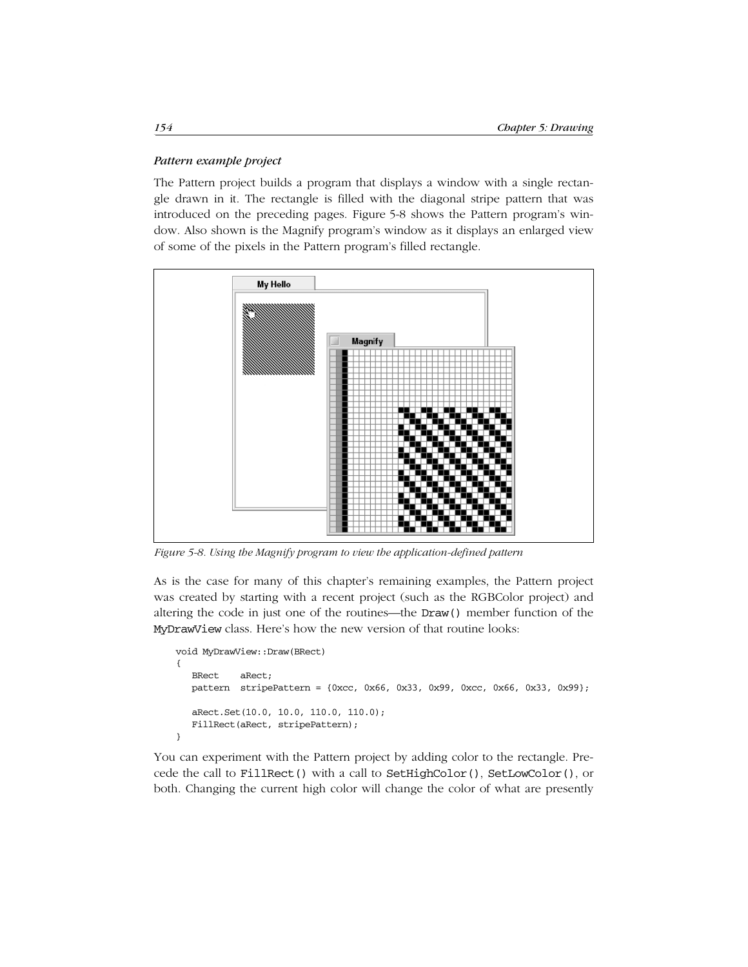#### *Pattern example project*

The Pattern project builds a program that displays a window with a single rectangle drawn in it. The rectangle is filled with the diagonal stripe pattern that was introduced on the preceding pages. Figure 5-8 shows the Pattern program's window. Also shown is the Magnify program's window as it displays an enlarged view of some of the pixels in the Pattern program's filled rectangle.



*Figure 5-8. Using the Magnify program to view the application-defined pattern*

As is the case for many of this chapter's remaining examples, the Pattern project was created by starting with a recent project (such as the RGBColor project) and altering the code in just one of the routines—the Draw() member function of the MyDrawView class. Here's how the new version of that routine looks:

```
void MyDrawView::Draw(BRect)
{
   BRect aRect;
   pattern stripePattern = {0xcc, 0x66, 0x33, 0x99, 0xcc, 0x66, 0x33, 0x99};
    aRect.Set(10.0, 10.0, 110.0, 110.0);
    FillRect(aRect, stripePattern);
}
```
You can experiment with the Pattern project by adding color to the rectangle. Precede the call to FillRect() with a call to SetHighColor(), SetLowColor(), or both. Changing the current high color will change the color of what are presently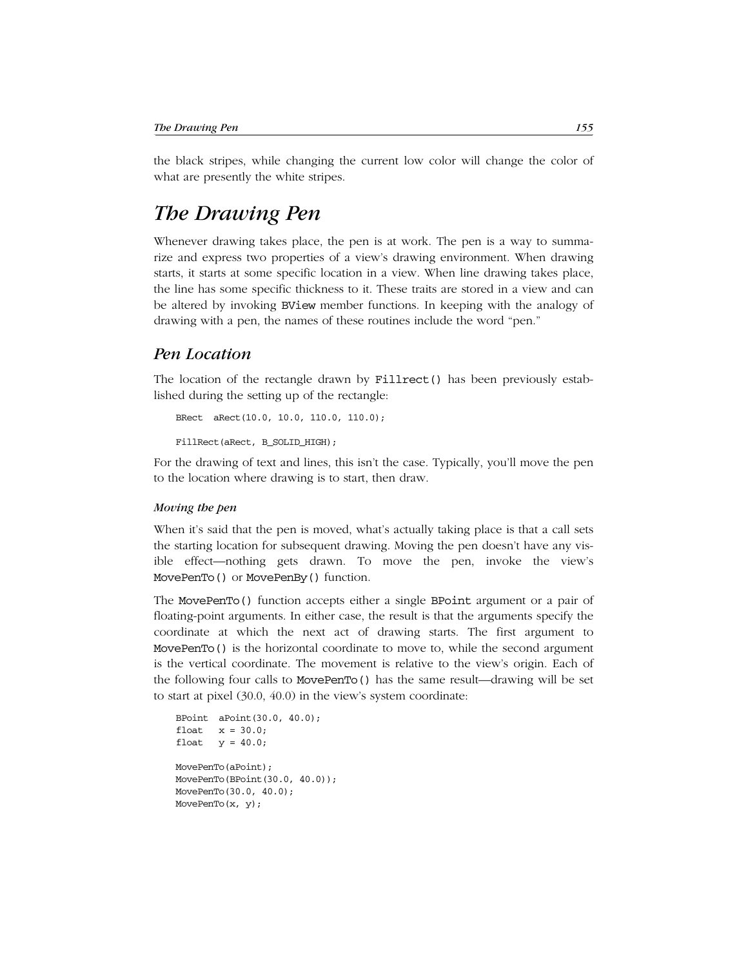the black stripes, while changing the current low color will change the color of what are presently the white stripes.

# *The Drawing Pen*

Whenever drawing takes place, the pen is at work. The pen is a way to summarize and express two properties of a view's drawing environment. When drawing starts, it starts at some specific location in a view. When line drawing takes place, the line has some specific thickness to it. These traits are stored in a view and can be altered by invoking BView member functions. In keeping with the analogy of drawing with a pen, the names of these routines include the word "pen."

# *Pen Location*

The location of the rectangle drawn by Fillrect() has been previously established during the setting up of the rectangle:

```
BRect aRect(10.0, 10.0, 110.0, 110.0);
```
FillRect(aRect, B\_SOLID\_HIGH);

For the drawing of text and lines, this isn't the case. Typically, you'll move the pen to the location where drawing is to start, then draw.

#### *Moving the pen*

When it's said that the pen is moved, what's actually taking place is that a call sets the starting location for subsequent drawing. Moving the pen doesn't have any visible effect—nothing gets drawn. To move the pen, invoke the view's MovePenTo() or MovePenBy() function.

The MovePenTo() function accepts either a single BPoint argument or a pair of floating-point arguments. In either case, the result is that the arguments specify the coordinate at which the next act of drawing starts. The first argument to MovePenTo() is the horizontal coordinate to move to, while the second argument is the vertical coordinate. The movement is relative to the view's origin. Each of the following four calls to MovePenTo() has the same result—drawing will be set to start at pixel (30.0, 40.0) in the view's system coordinate:

```
BPoint aPoint(30.0, 40.0);
float x = 30.0;
float y = 40.0;
MovePenTo(aPoint);
MovePenTo(BPoint(30.0, 40.0));
MovePenTo(30.0, 40.0);
MovePenTo(x, y);
```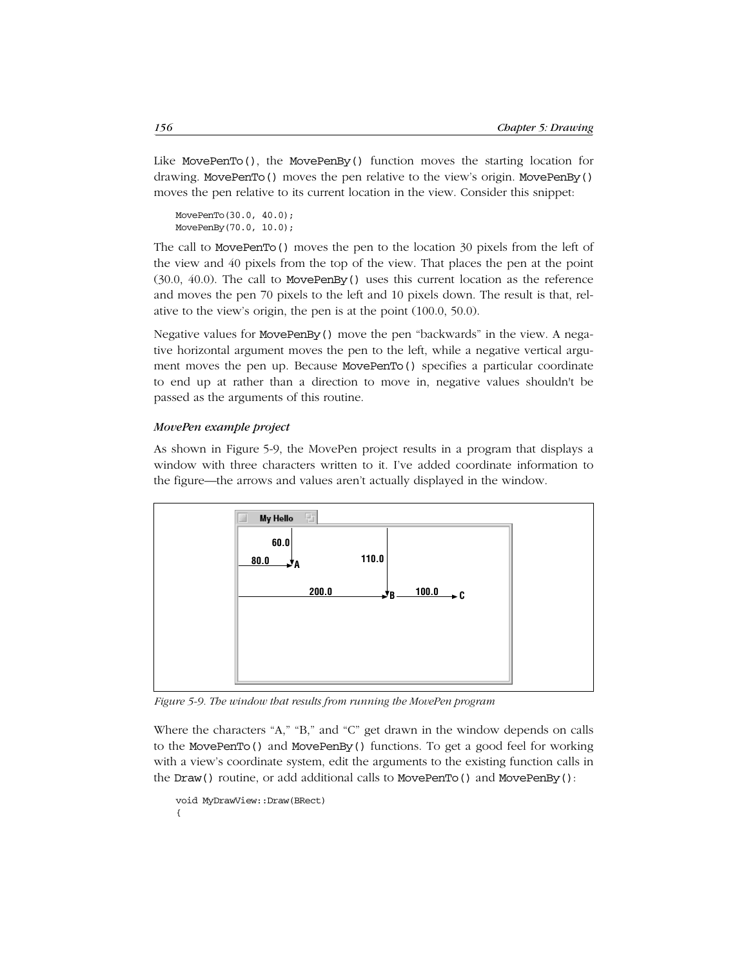Like MovePenTo(), the MovePenBy() function moves the starting location for drawing. MovePenTo() moves the pen relative to the view's origin. MovePenBy() moves the pen relative to its current location in the view. Consider this snippet:

MovePenTo(30.0, 40.0); MovePenBy(70.0, 10.0);

The call to MovePenTo() moves the pen to the location 30 pixels from the left of the view and 40 pixels from the top of the view. That places the pen at the point  $(30.0, 40.0)$ . The call to MovePenBy $()$  uses this current location as the reference and moves the pen 70 pixels to the left and 10 pixels down. The result is that, relative to the view's origin, the pen is at the point (100.0, 50.0).

Negative values for MovePenBy() move the pen "backwards" in the view. A negative horizontal argument moves the pen to the left, while a negative vertical argument moves the pen up. Because MovePenTo() specifies a particular coordinate to end up at rather than a direction to move in, negative values shouldn't be passed as the arguments of this routine.

#### *MovePen example project*

As shown in Figure 5-9, the MovePen project results in a program that displays a window with three characters written to it. I've added coordinate information to the figure—the arrows and values aren't actually displayed in the window.



*Figure 5-9. The window that results from running the MovePen program*

Where the characters "A," "B," and "C" get drawn in the window depends on calls to the MovePenTo() and MovePenBy() functions. To get a good feel for working with a view's coordinate system, edit the arguments to the existing function calls in the Draw() routine, or add additional calls to MovePenTo() and MovePenBy():

```
void MyDrawView::Draw(BRect)
{
```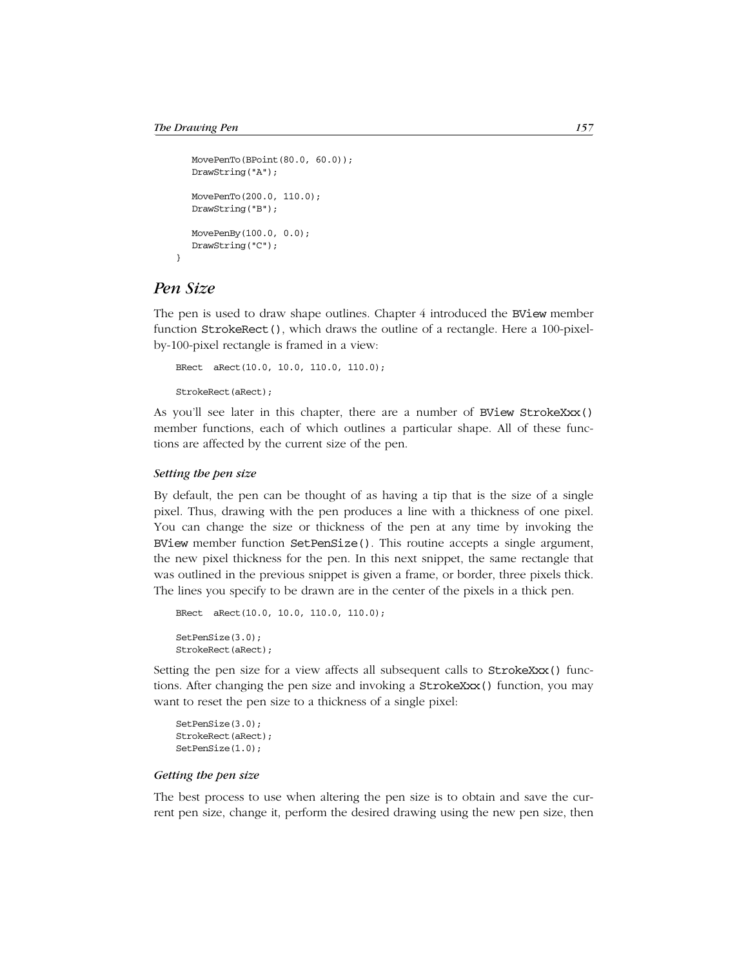```
 MovePenTo(BPoint(80.0, 60.0));
 DrawString("A");
 MovePenTo(200.0, 110.0);
 DrawString("B");
 MovePenBy(100.0, 0.0);
 DrawString("C");
```
# *Pen Size*

}

The pen is used to draw shape outlines. Chapter 4 introduced the BView member function StrokeRect(), which draws the outline of a rectangle. Here a 100-pixelby-100-pixel rectangle is framed in a view:

```
BRect aRect(10.0, 10.0, 110.0, 110.0);
StrokeRect(aRect);
```
As you'll see later in this chapter, there are a number of BView StrokeXxx() member functions, each of which outlines a particular shape. All of these functions are affected by the current size of the pen.

#### *Setting the pen size*

By default, the pen can be thought of as having a tip that is the size of a single pixel. Thus, drawing with the pen produces a line with a thickness of one pixel. You can change the size or thickness of the pen at any time by invoking the BView member function SetPenSize(). This routine accepts a single argument, the new pixel thickness for the pen. In this next snippet, the same rectangle that was outlined in the previous snippet is given a frame, or border, three pixels thick. The lines you specify to be drawn are in the center of the pixels in a thick pen.

```
BRect aRect(10.0, 10.0, 110.0, 110.0);
SetPenSize(3.0);
StrokeRect(aRect);
```
Setting the pen size for a view affects all subsequent calls to StrokeXxx() functions. After changing the pen size and invoking a StrokeXxx() function, you may want to reset the pen size to a thickness of a single pixel:

```
SetPenSize(3.0);
StrokeRect(aRect);
SetPenSize(1.0);
```
#### *Getting the pen size*

The best process to use when altering the pen size is to obtain and save the current pen size, change it, perform the desired drawing using the new pen size, then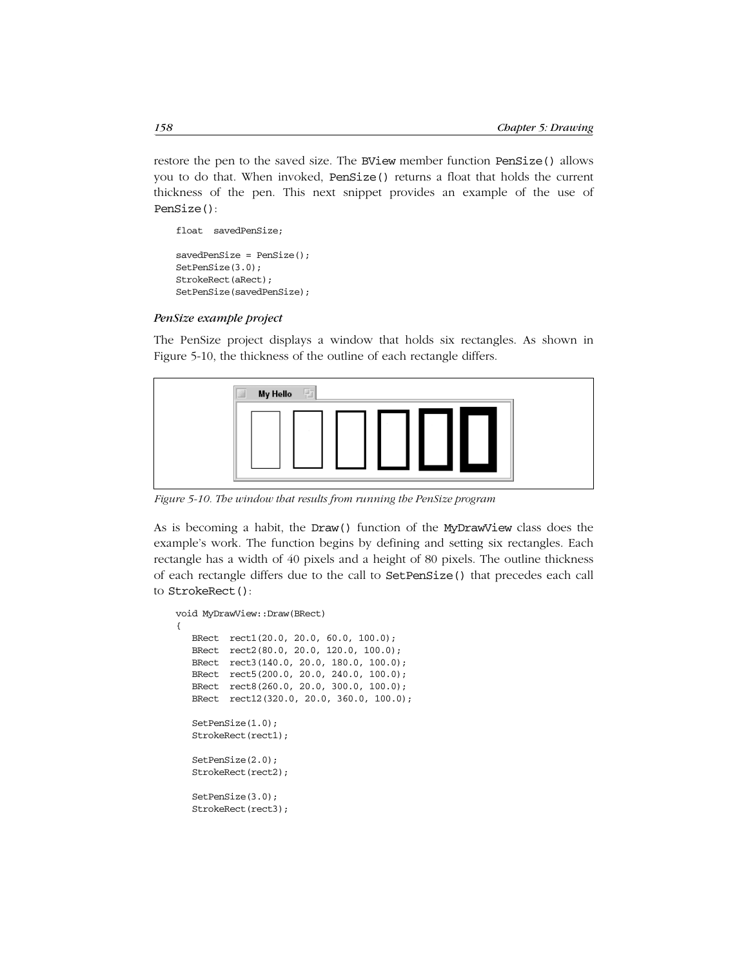restore the pen to the saved size. The BView member function PenSize() allows you to do that. When invoked, PenSize() returns a float that holds the current thickness of the pen. This next snippet provides an example of the use of PenSize():

float savedPenSize; savedPenSize = PenSize(); SetPenSize(3.0); StrokeRect(aRect); SetPenSize(savedPenSize);

#### *PenSize example project*

The PenSize project displays a window that holds six rectangles. As shown in Figure 5-10, the thickness of the outline of each rectangle differs.



*Figure 5-10. The window that results from running the PenSize program*

As is becoming a habit, the Draw() function of the MyDrawView class does the example's work. The function begins by defining and setting six rectangles. Each rectangle has a width of 40 pixels and a height of 80 pixels. The outline thickness of each rectangle differs due to the call to SetPenSize() that precedes each call to StrokeRect():

```
void MyDrawView::Draw(BRect)
{
    BRect rect1(20.0, 20.0, 60.0, 100.0);
   BRect rect2(80.0, 20.0, 120.0, 100.0);
   BRect rect3(140.0, 20.0, 180.0, 100.0);
    BRect rect5(200.0, 20.0, 240.0, 100.0);
    BRect rect8(260.0, 20.0, 300.0, 100.0);
    BRect rect12(320.0, 20.0, 360.0, 100.0);
    SetPenSize(1.0);
   StrokeRect(rect1);
    SetPenSize(2.0);
    StrokeRect(rect2);
    SetPenSize(3.0);
    StrokeRect(rect3);
```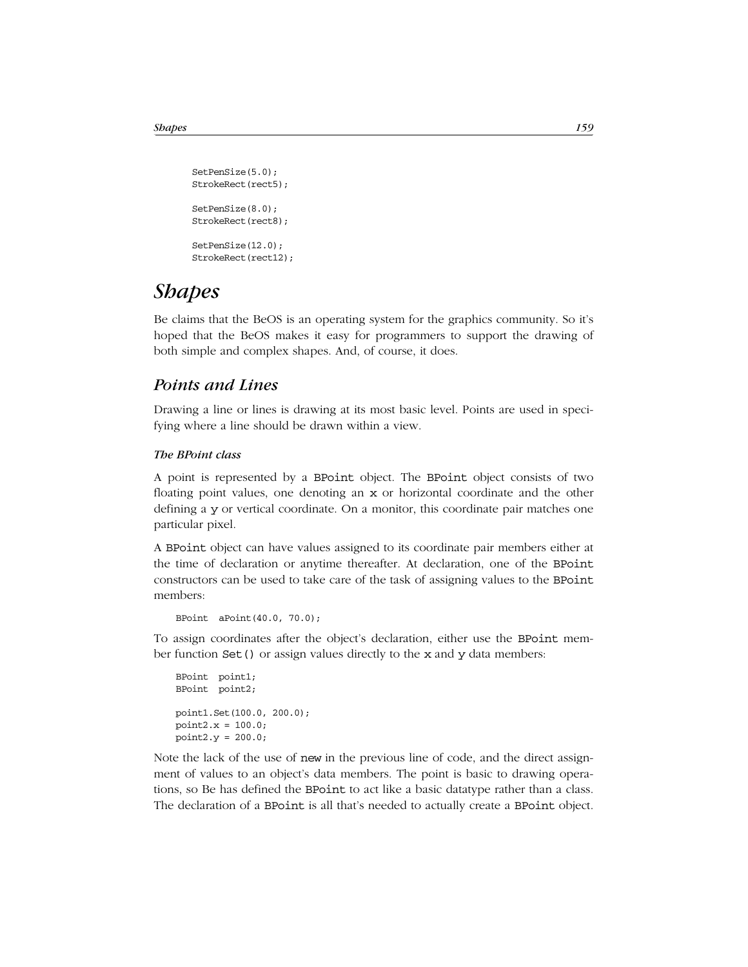```
Set PenSize(5,0);
 StrokeRect(rect5);
 SetPenSize(8.0);
 StrokeRect(rect8);
 SetPenSize(12.0);
 StrokeRect(rect12);
```
# *Shapes*

Be claims that the BeOS is an operating system for the graphics community. So it's hoped that the BeOS makes it easy for programmers to support the drawing of both simple and complex shapes. And, of course, it does.

# *Points and Lines*

Drawing a line or lines is drawing at its most basic level. Points are used in specifying where a line should be drawn within a view.

#### *The BPoint class*

A point is represented by a BPoint object. The BPoint object consists of two floating point values, one denoting an x or horizontal coordinate and the other defining a y or vertical coordinate. On a monitor, this coordinate pair matches one particular pixel.

A BPoint object can have values assigned to its coordinate pair members either at the time of declaration or anytime thereafter. At declaration, one of the BPoint constructors can be used to take care of the task of assigning values to the BPoint members:

```
BPoint aPoint(40.0, 70.0);
```
To assign coordinates after the object's declaration, either use the BPoint member function Set() or assign values directly to the x and y data members:

```
BPoint point1;
BPoint point2;
point1.Set(100.0, 200.0);
point2.x = 100.0;point2.y = 200.0;
```
Note the lack of the use of new in the previous line of code, and the direct assignment of values to an object's data members. The point is basic to drawing operations, so Be has defined the BPoint to act like a basic datatype rather than a class. The declaration of a BPoint is all that's needed to actually create a BPoint object.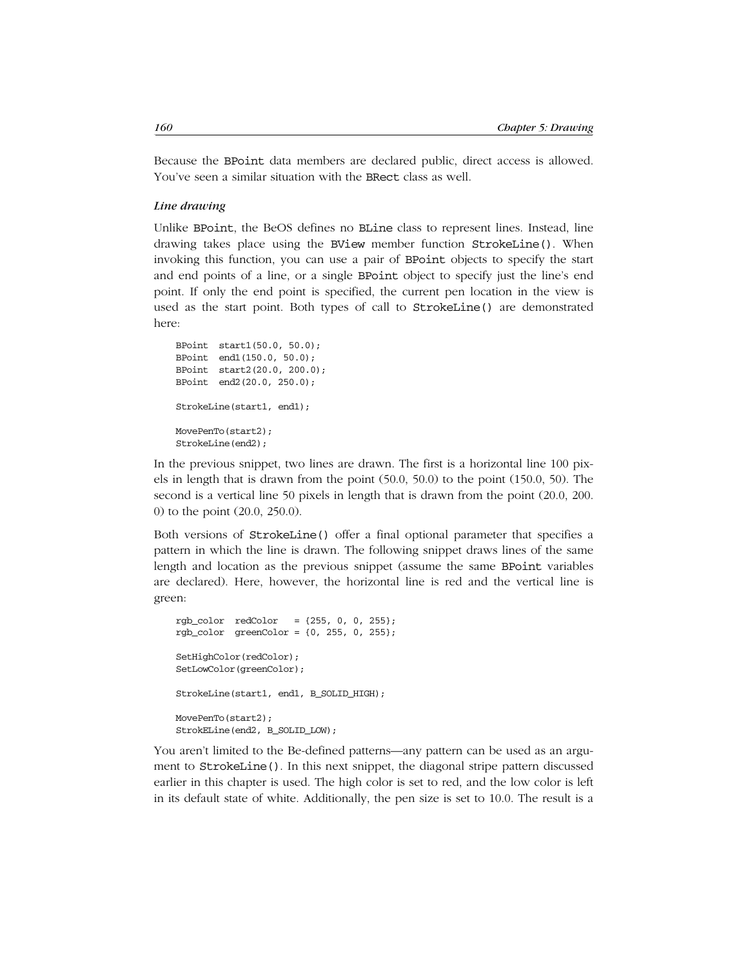Because the BPoint data members are declared public, direct access is allowed. You've seen a similar situation with the BRect class as well.

#### *Line drawing*

Unlike BPoint, the BeOS defines no BLine class to represent lines. Instead, line drawing takes place using the BView member function StrokeLine(). When invoking this function, you can use a pair of BPoint objects to specify the start and end points of a line, or a single BPoint object to specify just the line's end point. If only the end point is specified, the current pen location in the view is used as the start point. Both types of call to StrokeLine() are demonstrated here:

```
BPoint start1(50.0, 50.0);
BPoint end1(150.0, 50.0);
BPoint start2(20.0, 200.0);
BPoint end2(20.0, 250.0);
StrokeLine(start1, end1);
MovePenTo(start2);
StrokeLine(end2);
```
In the previous snippet, two lines are drawn. The first is a horizontal line 100 pixels in length that is drawn from the point (50.0, 50.0) to the point (150.0, 50). The second is a vertical line 50 pixels in length that is drawn from the point (20.0, 200. 0) to the point (20.0, 250.0).

Both versions of StrokeLine() offer a final optional parameter that specifies a pattern in which the line is drawn. The following snippet draws lines of the same length and location as the previous snippet (assume the same BPoint variables are declared). Here, however, the horizontal line is red and the vertical line is green:

```
rgb_color redColor = {255, 0, 0, 255};
rgb_color greenColor = {0, 255, 0, 255};
SetHighColor(redColor);
SetLowColor(greenColor);
StrokeLine(start1, end1, B_SOLID_HIGH);
MovePenTo(start2);
StrokELine(end2, B_SOLID_LOW);
```
You aren't limited to the Be-defined patterns—any pattern can be used as an argument to StrokeLine(). In this next snippet, the diagonal stripe pattern discussed earlier in this chapter is used. The high color is set to red, and the low color is left in its default state of white. Additionally, the pen size is set to 10.0. The result is a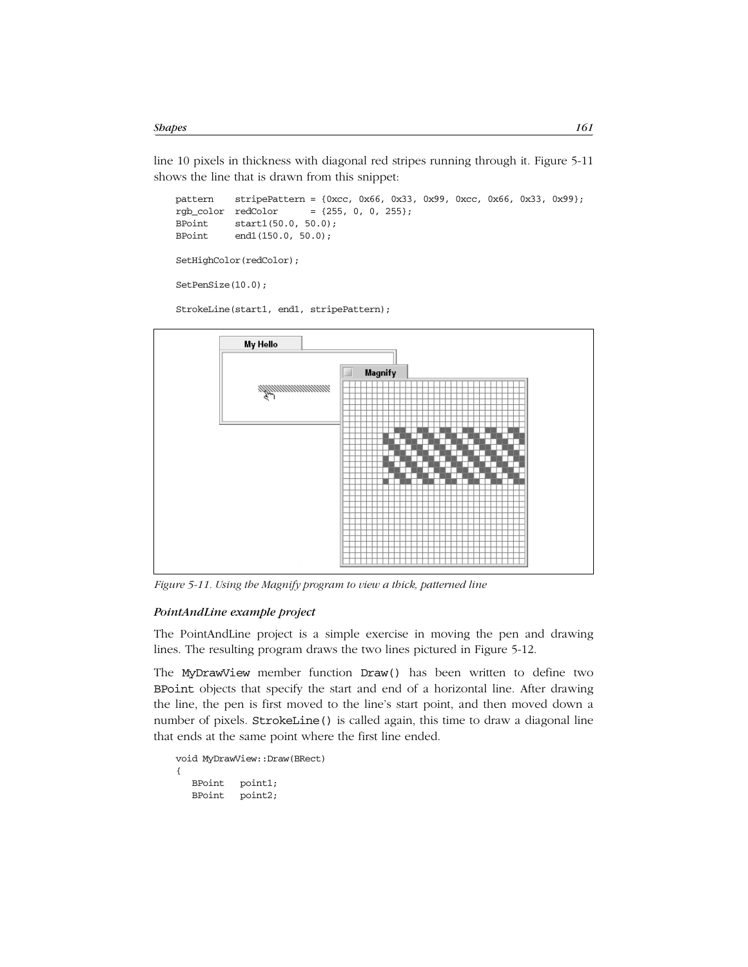line 10 pixels in thickness with diagonal red stripes running through it. Figure 5-11 shows the line that is drawn from this snippet:

```
pattern stripePattern = {0xcc, 0x66, 0x33, 0x99, 0xcc, 0x66, 0x33, 0x99};
rgb\_color = \{255, 0, 0, 255\};BPoint start1(50.0, 50.0);
BPoint end1(150.0, 50.0);
SetHighColor(redColor);
```
SetPenSize(10.0);

StrokeLine(start1, end1, stripePattern);



*Figure 5-11. Using the Magnify program to view a thick, patterned line*

#### *PointAndLine example project*

The PointAndLine project is a simple exercise in moving the pen and drawing lines. The resulting program draws the two lines pictured in Figure 5-12.

The MyDrawView member function Draw() has been written to define two BPoint objects that specify the start and end of a horizontal line. After drawing the line, the pen is first moved to the line's start point, and then moved down a number of pixels. StrokeLine() is called again, this time to draw a diagonal line that ends at the same point where the first line ended.

```
void MyDrawView::Draw(BRect)
{
    BPoint point1;
    BPoint point2;
```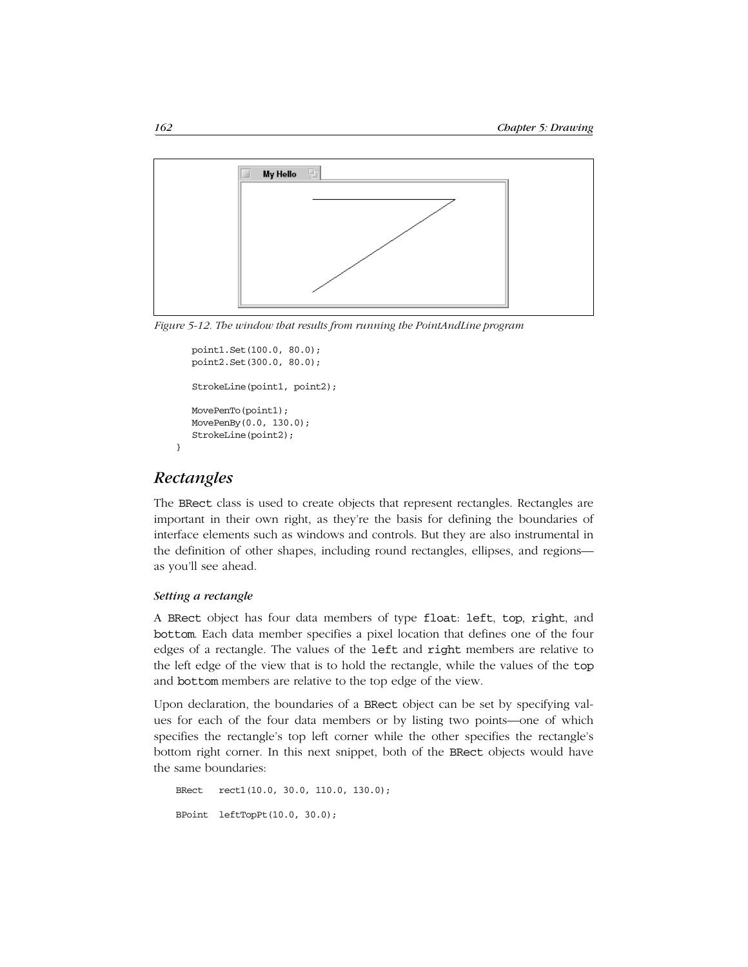

*Figure 5-12. The window that results from running the PointAndLine program*

```
 point1.Set(100.0, 80.0);
 point2.Set(300.0, 80.0);
 StrokeLine(point1, point2);
 MovePenTo(point1);
 MovePenBy(0.0, 130.0);
 StrokeLine(point2);
```
# *Rectangles*

}

The BRect class is used to create objects that represent rectangles. Rectangles are important in their own right, as they're the basis for defining the boundaries of interface elements such as windows and controls. But they are also instrumental in the definition of other shapes, including round rectangles, ellipses, and regions as you'll see ahead.

#### *Setting a rectangle*

A BRect object has four data members of type float: left, top, right, and bottom. Each data member specifies a pixel location that defines one of the four edges of a rectangle. The values of the left and right members are relative to the left edge of the view that is to hold the rectangle, while the values of the top and bottom members are relative to the top edge of the view.

Upon declaration, the boundaries of a BRect object can be set by specifying values for each of the four data members or by listing two points—one of which specifies the rectangle's top left corner while the other specifies the rectangle's bottom right corner. In this next snippet, both of the BRect objects would have the same boundaries:

```
BRect rect1(10.0, 30.0, 110.0, 130.0);
BPoint leftTopPt(10.0, 30.0);
```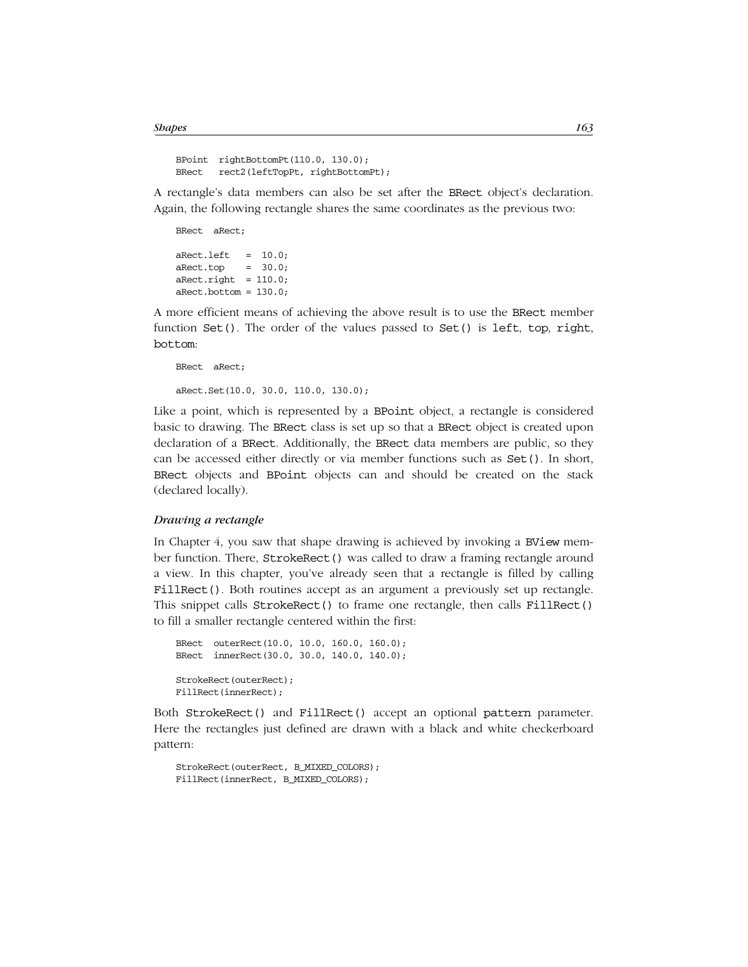```
BPoint rightBottomPt(110.0, 130.0);
BRect rect2(leftTopPt, rightBottomPt);
```
A rectangle's data members can also be set after the BRect object's declaration. Again, the following rectangle shares the same coordinates as the previous two:

BRect aRect;  $aRect.left = 10.0;$  $aRect.top =  $30.0;$$  $aRect.right = 110.0;$  $aRect.bottom = 130.0;$ 

A more efficient means of achieving the above result is to use the BRect member function Set(). The order of the values passed to Set() is left, top, right, bottom:

```
BRect aRect;
aRect.Set(10.0, 30.0, 110.0, 130.0);
```
Like a point, which is represented by a BPoint object, a rectangle is considered basic to drawing. The BRect class is set up so that a BRect object is created upon declaration of a BRect. Additionally, the BRect data members are public, so they can be accessed either directly or via member functions such as Set(). In short, BRect objects and BPoint objects can and should be created on the stack (declared locally).

#### *Drawing a rectangle*

In Chapter 4, you saw that shape drawing is achieved by invoking a BView member function. There, StrokeRect() was called to draw a framing rectangle around a view. In this chapter, you've already seen that a rectangle is filled by calling FillRect(). Both routines accept as an argument a previously set up rectangle. This snippet calls StrokeRect() to frame one rectangle, then calls FillRect() to fill a smaller rectangle centered within the first:

```
BRect outerRect(10.0, 10.0, 160.0, 160.0);
BRect innerRect(30.0, 30.0, 140.0, 140.0);
StrokeRect(outerRect);
FillRect(innerRect);
```
Both StrokeRect() and FillRect() accept an optional pattern parameter. Here the rectangles just defined are drawn with a black and white checkerboard pattern:

```
StrokeRect(outerRect, B_MIXED_COLORS);
FillRect(innerRect, B_MIXED_COLORS);
```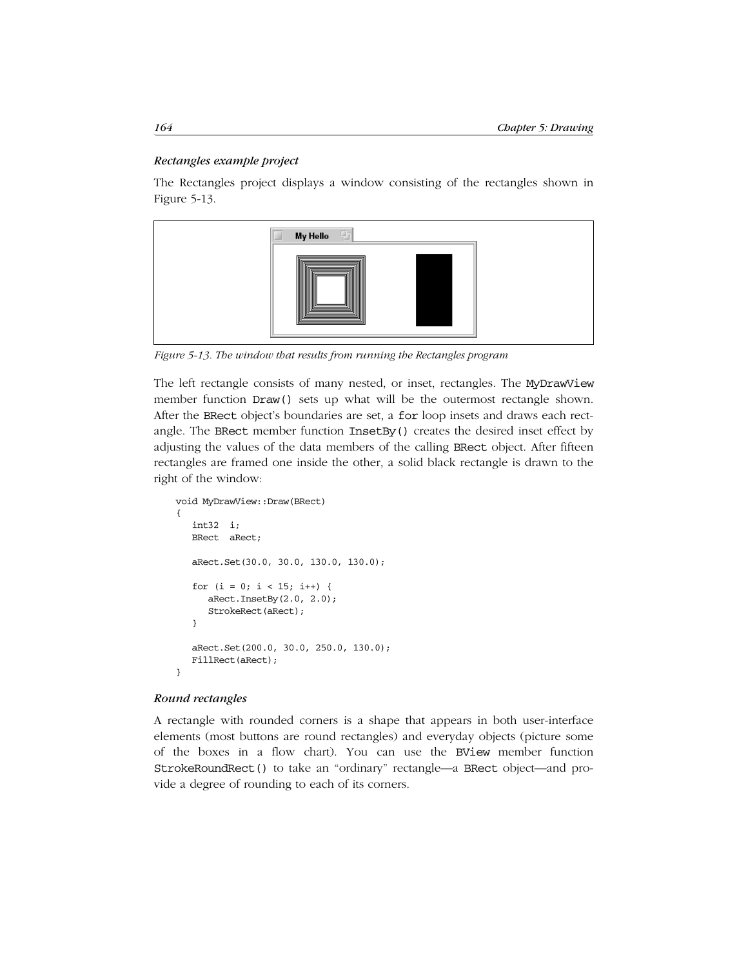#### *Rectangles example project*

The Rectangles project displays a window consisting of the rectangles shown in Figure 5-13.



*Figure 5-13. The window that results from running the Rectangles program*

The left rectangle consists of many nested, or inset, rectangles. The MyDrawView member function Draw() sets up what will be the outermost rectangle shown. After the BRect object's boundaries are set, a for loop insets and draws each rectangle. The BRect member function InsetBy() creates the desired inset effect by adjusting the values of the data members of the calling BRect object. After fifteen rectangles are framed one inside the other, a solid black rectangle is drawn to the right of the window:

```
void MyDrawView::Draw(BRect)
{
    int32 i;
    BRect aRect;
    aRect.Set(30.0, 30.0, 130.0, 130.0);
   for (i = 0; i < 15; i++) {
       aRect.InsetBy(2.0, 2.0);
       StrokeRect(aRect);
    }
    aRect.Set(200.0, 30.0, 250.0, 130.0);
    FillRect(aRect);
}
```
#### *Round rectangles*

A rectangle with rounded corners is a shape that appears in both user-interface elements (most buttons are round rectangles) and everyday objects (picture some of the boxes in a flow chart). You can use the BView member function StrokeRoundRect() to take an "ordinary" rectangle—a BRect object—and provide a degree of rounding to each of its corners.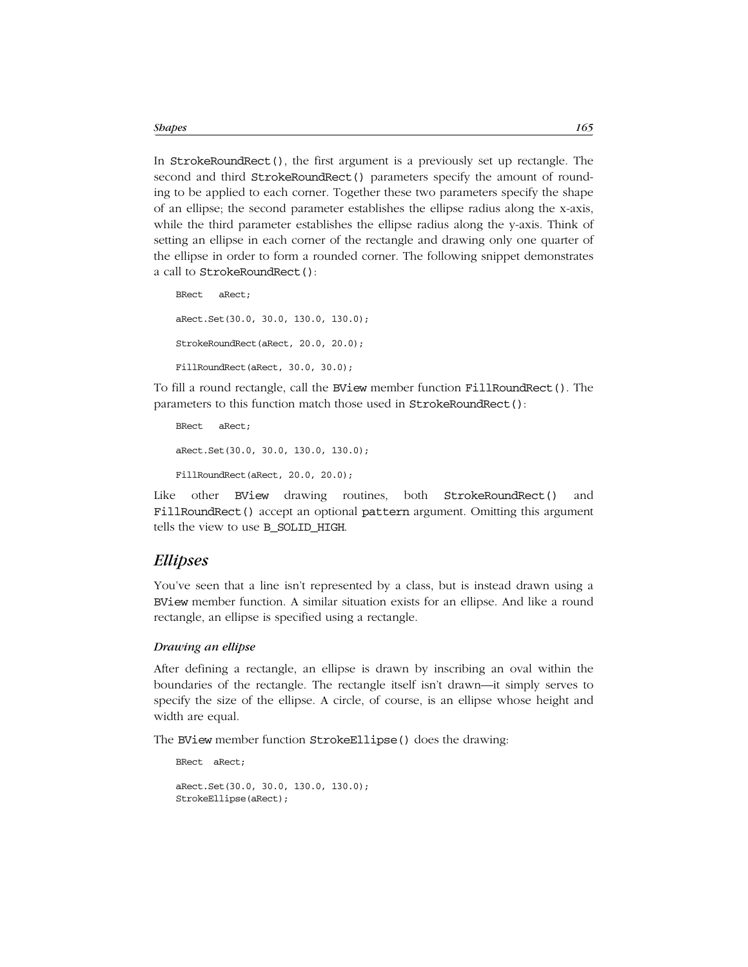*Shapes 165*

In StrokeRoundRect(), the first argument is a previously set up rectangle. The second and third StrokeRoundRect() parameters specify the amount of rounding to be applied to each corner. Together these two parameters specify the shape of an ellipse; the second parameter establishes the ellipse radius along the x-axis, while the third parameter establishes the ellipse radius along the y-axis. Think of setting an ellipse in each corner of the rectangle and drawing only one quarter of the ellipse in order to form a rounded corner. The following snippet demonstrates a call to StrokeRoundRect():

```
BRect aRect;
aRect.Set(30.0, 30.0, 130.0, 130.0);
StrokeRoundRect(aRect, 20.0, 20.0);
FillRoundRect(aRect, 30.0, 30.0);
```
To fill a round rectangle, call the BView member function FillRoundRect(). The parameters to this function match those used in StrokeRoundRect():

```
BRect aRect;
aRect.Set(30.0, 30.0, 130.0, 130.0);
FillRoundRect(aRect, 20.0, 20.0);
```
Like other BView drawing routines, both StrokeRoundRect() and FillRoundRect() accept an optional pattern argument. Omitting this argument tells the view to use B\_SOLID\_HIGH.

## *Ellipses*

You've seen that a line isn't represented by a class, but is instead drawn using a BView member function. A similar situation exists for an ellipse. And like a round rectangle, an ellipse is specified using a rectangle.

#### *Drawing an ellipse*

After defining a rectangle, an ellipse is drawn by inscribing an oval within the boundaries of the rectangle. The rectangle itself isn't drawn—it simply serves to specify the size of the ellipse. A circle, of course, is an ellipse whose height and width are equal.

The BView member function StrokeEllipse() does the drawing:

```
BRect aRect;
aRect.Set(30.0, 30.0, 130.0, 130.0);
StrokeEllipse(aRect);
```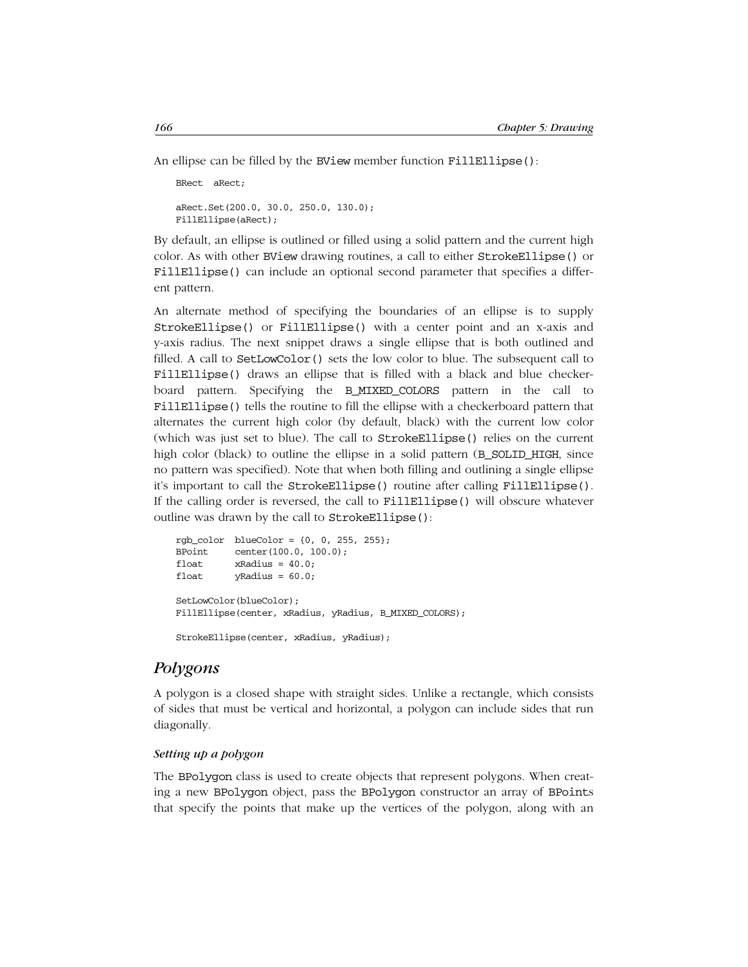An ellipse can be filled by the BView member function FillEllipse():

BRect aRect; aRect.Set(200.0, 30.0, 250.0, 130.0); FillEllipse(aRect);

By default, an ellipse is outlined or filled using a solid pattern and the current high color. As with other BView drawing routines, a call to either StrokeEllipse() or FillEllipse() can include an optional second parameter that specifies a different pattern.

An alternate method of specifying the boundaries of an ellipse is to supply StrokeEllipse() or FillEllipse() with a center point and an x-axis and y-axis radius. The next snippet draws a single ellipse that is both outlined and filled. A call to SetLowColor() sets the low color to blue. The subsequent call to FillEllipse() draws an ellipse that is filled with a black and blue checkerboard pattern. Specifying the B\_MIXED\_COLORS pattern in the call to FillEllipse() tells the routine to fill the ellipse with a checkerboard pattern that alternates the current high color (by default, black) with the current low color (which was just set to blue). The call to StrokeEllipse() relies on the current high color (black) to outline the ellipse in a solid pattern (B\_SOLID\_HIGH, since no pattern was specified). Note that when both filling and outlining a single ellipse it's important to call the StrokeEllipse() routine after calling FillEllipse(). If the calling order is reversed, the call to FillEllipse() will obscure whatever outline was drawn by the call to StrokeEllipse():

```
rgb_color blueColor = {0, 0, 255, 255};
BPoint center(100.0, 100.0);
float xRadius = 40.0;
float yRadius = 60.0;
SetLowColor(blueColor):
FillEllipse(center, xRadius, yRadius, B_MIXED_COLORS);
StrokeEllipse(center, xRadius, yRadius);
```
# *Polygons*

A polygon is a closed shape with straight sides. Unlike a rectangle, which consists of sides that must be vertical and horizontal, a polygon can include sides that run diagonally.

#### *Setting up a polygon*

The BPolygon class is used to create objects that represent polygons. When creating a new BPolygon object, pass the BPolygon constructor an array of BPoints that specify the points that make up the vertices of the polygon, along with an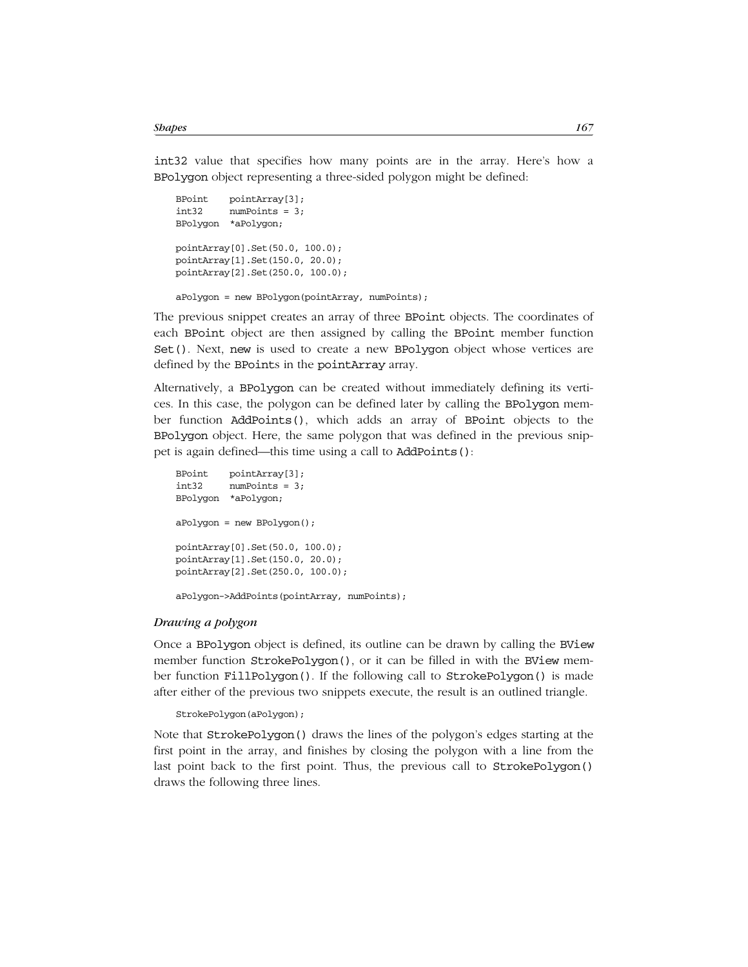int32 value that specifies how many points are in the array. Here's how a BPolygon object representing a three-sided polygon might be defined:

```
BPoint pointArray[3];
int32 numPoints = 3;
BPolygon *aPolygon;
pointArray[0].Set(50.0, 100.0);
pointArray[1].Set(150.0, 20.0);
pointArray[2].Set(250.0, 100.0);
aPolygon = new BPolygon(pointArray, numPoints);
```
The previous snippet creates an array of three BPoint objects. The coordinates of each BPoint object are then assigned by calling the BPoint member function Set(). Next, new is used to create a new BPolygon object whose vertices are defined by the BPoints in the pointArray array.

Alternatively, a BPolygon can be created without immediately defining its vertices. In this case, the polygon can be defined later by calling the BPolygon member function AddPoints(), which adds an array of BPoint objects to the BPolygon object. Here, the same polygon that was defined in the previous snippet is again defined—this time using a call to AddPoints():

```
BPoint pointArray[3];
int32 numPoints = 3;
BPolygon *aPolygon;
aPolygon = new BPolygon();
pointArray[0].Set(50.0, 100.0);
pointArray[1].Set(150.0, 20.0);
pointArray[2].Set(250.0, 100.0);
aPolygon->AddPoints(pointArray, numPoints);
```
#### *Drawing a polygon*

Once a BPolygon object is defined, its outline can be drawn by calling the BView member function StrokePolygon(), or it can be filled in with the BView member function FillPolygon(). If the following call to StrokePolygon() is made after either of the previous two snippets execute, the result is an outlined triangle.

```
StrokePolygon(aPolygon);
```
Note that StrokePolygon() draws the lines of the polygon's edges starting at the first point in the array, and finishes by closing the polygon with a line from the last point back to the first point. Thus, the previous call to StrokePolygon() draws the following three lines.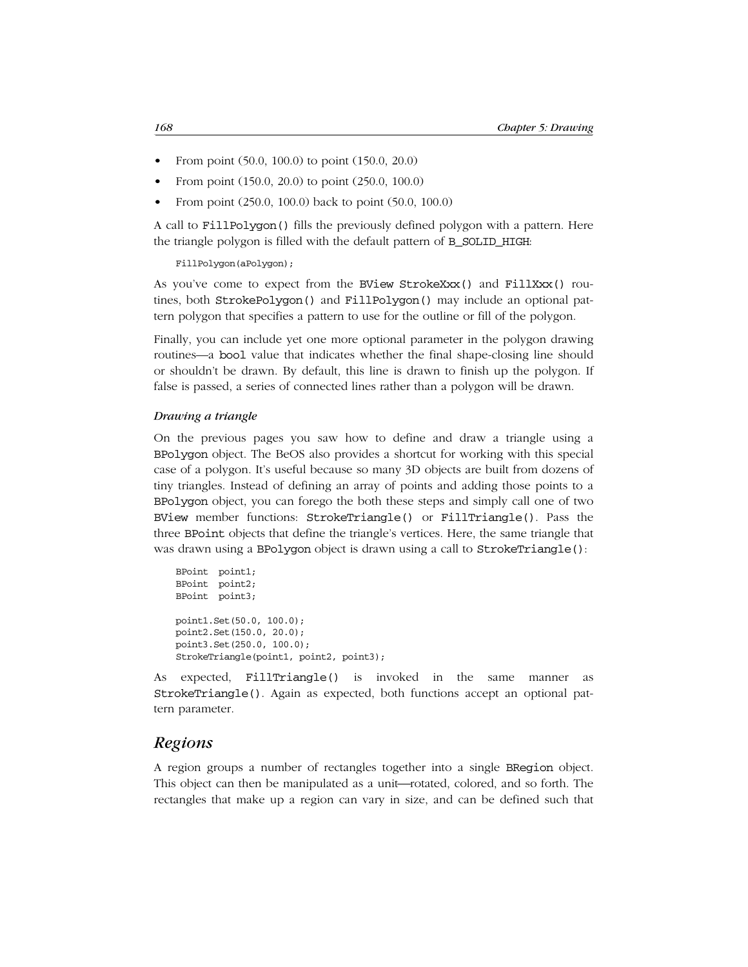- From point (50.0, 100.0) to point (150.0, 20.0)
- From point (150.0, 20.0) to point (250.0, 100.0)
- From point (250.0, 100.0) back to point (50.0, 100.0)

A call to FillPolygon() fills the previously defined polygon with a pattern. Here the triangle polygon is filled with the default pattern of B\_SOLID\_HIGH:

FillPolygon(aPolygon);

As you've come to expect from the BView StrokeXxx() and  $FillXXX()$  routines, both StrokePolygon() and FillPolygon() may include an optional pattern polygon that specifies a pattern to use for the outline or fill of the polygon.

Finally, you can include yet one more optional parameter in the polygon drawing routines—a bool value that indicates whether the final shape-closing line should or shouldn't be drawn. By default, this line is drawn to finish up the polygon. If false is passed, a series of connected lines rather than a polygon will be drawn.

#### *Drawing a triangle*

On the previous pages you saw how to define and draw a triangle using a BPolygon object. The BeOS also provides a shortcut for working with this special case of a polygon. It's useful because so many 3D objects are built from dozens of tiny triangles. Instead of defining an array of points and adding those points to a BPolygon object, you can forego the both these steps and simply call one of two BView member functions: StrokeTriangle() or FillTriangle(). Pass the three BPoint objects that define the triangle's vertices. Here, the same triangle that was drawn using a BPolygon object is drawn using a call to StrokeTriangle():

```
BPoint point1;
BPoint point2;
BPoint point3;
point1.Set(50.0, 100.0);
point2.Set(150.0, 20.0);
point3.Set(250.0, 100.0);
StrokeTriangle(point1, point2, point3);
```
As expected, FillTriangle() is invoked in the same manner as StrokeTriangle(). Again as expected, both functions accept an optional pattern parameter.

## *Regions*

A region groups a number of rectangles together into a single BRegion object. This object can then be manipulated as a unit-rotated, colored, and so forth. The rectangles that make up a region can vary in size, and can be defined such that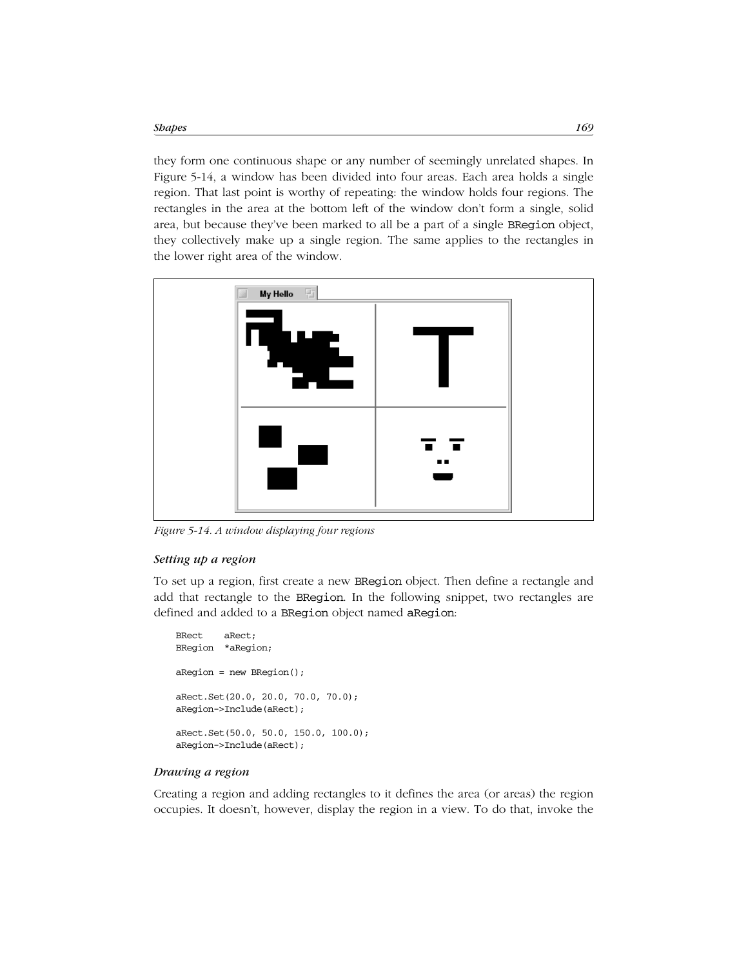they form one continuous shape or any number of seemingly unrelated shapes. In Figure 5-14, a window has been divided into four areas. Each area holds a single region. That last point is worthy of repeating: the window holds four regions. The rectangles in the area at the bottom left of the window don't form a single, solid area, but because they've been marked to all be a part of a single BRegion object, they collectively make up a single region. The same applies to the rectangles in the lower right area of the window.



*Figure 5-14. A window displaying four regions*

#### *Setting up a region*

To set up a region, first create a new BRegion object. Then define a rectangle and add that rectangle to the BRegion. In the following snippet, two rectangles are defined and added to a BRegion object named aRegion:

```
BRect aRect;
BRegion *aRegion;
aRegion = new BRegion();
aRect.Set(20.0, 20.0, 70.0, 70.0);
aRegion->Include(aRect);
aRect.Set(50.0, 50.0, 150.0, 100.0);
aRegion->Include(aRect);
```
#### *Drawing a region*

Creating a region and adding rectangles to it defines the area (or areas) the region occupies. It doesn't, however, display the region in a view. To do that, invoke the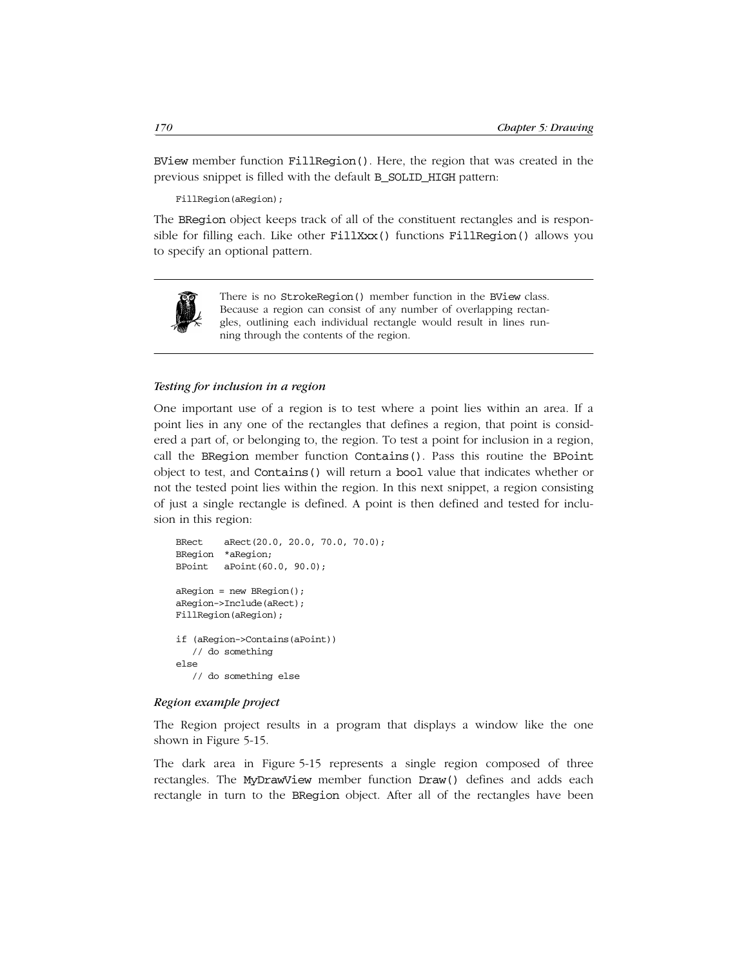BView member function FillRegion(). Here, the region that was created in the previous snippet is filled with the default B\_SOLID\_HIGH pattern:

FillRegion(aRegion);

The BRegion object keeps track of all of the constituent rectangles and is responsible for filling each. Like other FillXxx() functions FillRegion() allows you to specify an optional pattern.



There is no StrokeRegion() member function in the BView class. Because a region can consist of any number of overlapping rectangles, outlining each individual rectangle would result in lines running through the contents of the region.

#### *Testing for inclusion in a region*

One important use of a region is to test where a point lies within an area. If a point lies in any one of the rectangles that defines a region, that point is considered a part of, or belonging to, the region. To test a point for inclusion in a region, call the BRegion member function Contains(). Pass this routine the BPoint object to test, and Contains() will return a bool value that indicates whether or not the tested point lies within the region. In this next snippet, a region consisting of just a single rectangle is defined. A point is then defined and tested for inclusion in this region:

```
BRect aRect(20.0, 20.0, 70.0, 70.0);
BRegion *aRegion;
BPoint aPoint(60.0, 90.0);
aRegion = new BRegion();
aRegion->Include(aRect);
FillRegion(aRegion);
if (aRegion->Contains(aPoint))
    // do something
else
    // do something else
```
#### *Region example project*

The Region project results in a program that displays a window like the one shown in Figure 5-15.

The dark area in Figure 5-15 represents a single region composed of three rectangles. The MyDrawView member function Draw() defines and adds each rectangle in turn to the BRegion object. After all of the rectangles have been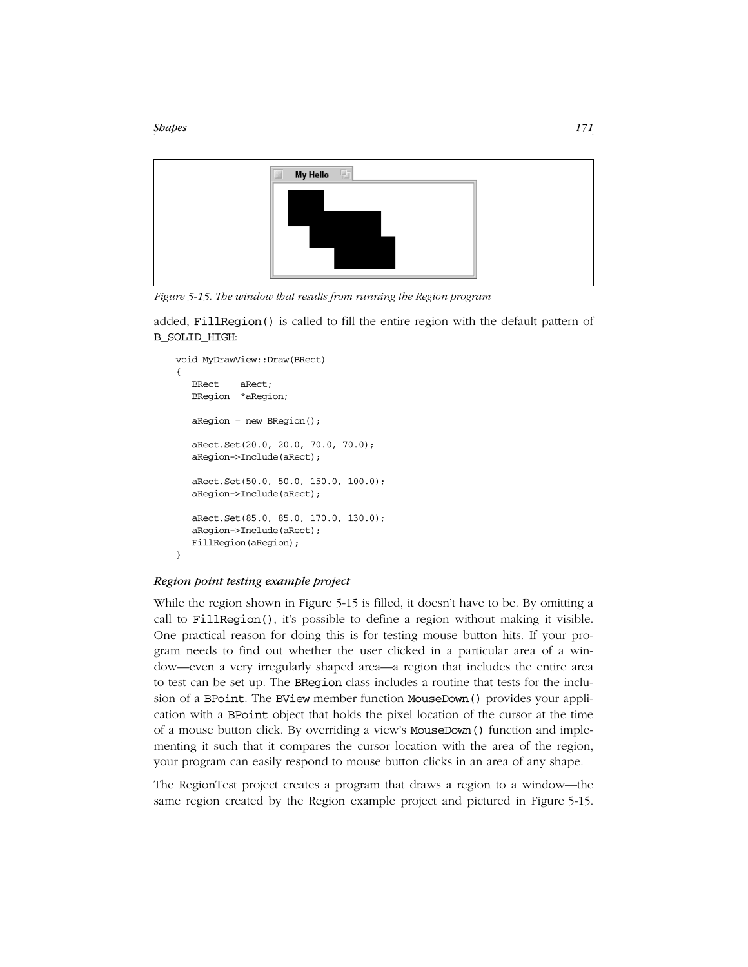

*Figure 5-15. The window that results from running the Region program*

added, FillRegion() is called to fill the entire region with the default pattern of B\_SOLID\_HIGH:

```
void MyDrawView::Draw(BRect)
{
    BRect aRect;
    BRegion *aRegion;
    aRegion = new BRegion();
    aRect.Set(20.0, 20.0, 70.0, 70.0);
    aRegion->Include(aRect);
    aRect.Set(50.0, 50.0, 150.0, 100.0);
    aRegion->Include(aRect);
    aRect.Set(85.0, 85.0, 170.0, 130.0);
    aRegion->Include(aRect);
    FillRegion(aRegion);
}
```
#### *Region point testing example project*

While the region shown in Figure 5-15 is filled, it doesn't have to be. By omitting a call to FillRegion(), it's possible to define a region without making it visible. One practical reason for doing this is for testing mouse button hits. If your program needs to find out whether the user clicked in a particular area of a window—even a very irregularly shaped area—a region that includes the entire area to test can be set up. The BRegion class includes a routine that tests for the inclusion of a BPoint. The BView member function MouseDown() provides your application with a BPoint object that holds the pixel location of the cursor at the time of a mouse button click. By overriding a view's MouseDown() function and implementing it such that it compares the cursor location with the area of the region, your program can easily respond to mouse button clicks in an area of any shape.

The RegionTest project creates a program that draws a region to a window—the same region created by the Region example project and pictured in Figure 5-15.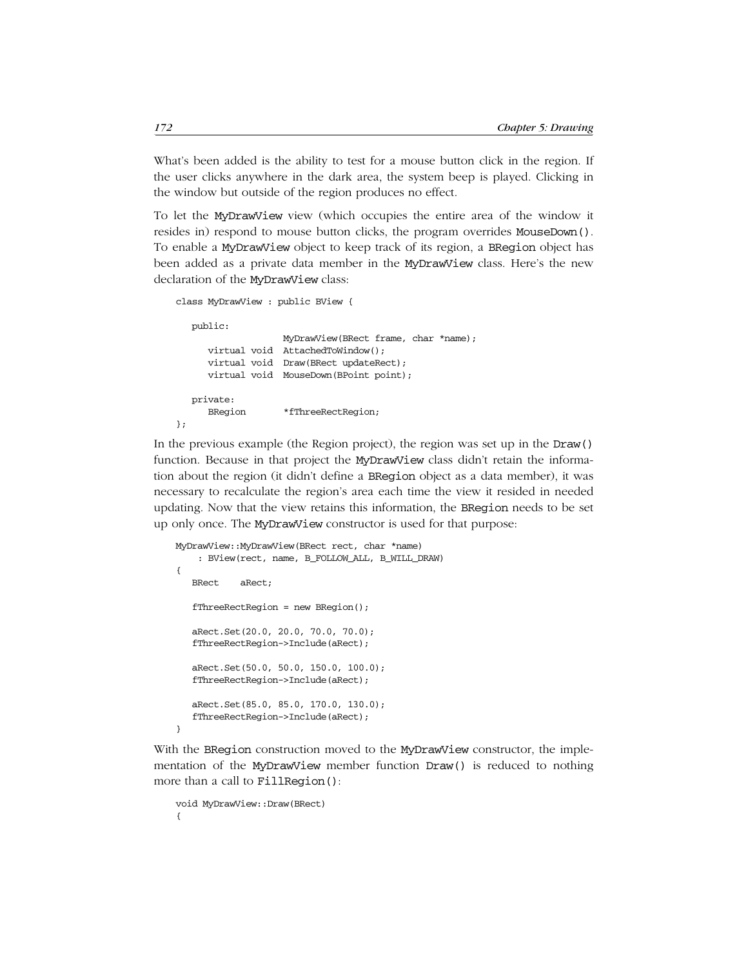What's been added is the ability to test for a mouse button click in the region. If the user clicks anywhere in the dark area, the system beep is played. Clicking in the window but outside of the region produces no effect.

To let the MyDrawView view (which occupies the entire area of the window it resides in) respond to mouse button clicks, the program overrides MouseDown(). To enable a MyDrawView object to keep track of its region, a BRegion object has been added as a private data member in the MyDrawView class. Here's the new declaration of the MyDrawView class:

```
class MyDrawView : public BView {
   public:
                     MyDrawView(BRect frame, char *name);
       virtual void AttachedToWindow();
       virtual void Draw(BRect updateRect);
       virtual void MouseDown(BPoint point);
    private:
       BRegion *fThreeRectRegion;
};
```
In the previous example (the Region project), the region was set up in the Draw() function. Because in that project the MyDrawView class didn't retain the information about the region (it didn't define a BRegion object as a data member), it was necessary to recalculate the region's area each time the view it resided in needed updating. Now that the view retains this information, the BRegion needs to be set up only once. The MyDrawView constructor is used for that purpose:

```
MyDrawView::MyDrawView(BRect rect, char *name)
     : BView(rect, name, B_FOLLOW_ALL, B_WILL_DRAW)
{
    BRect aRect;
    fThreeRectRegion = new BRegion();
    aRect.Set(20.0, 20.0, 70.0, 70.0);
    fThreeRectRegion->Include(aRect);
    aRect.Set(50.0, 50.0, 150.0, 100.0);
    fThreeRectRegion->Include(aRect);
    aRect.Set(85.0, 85.0, 170.0, 130.0);
    fThreeRectRegion->Include(aRect);
}
```
With the BRegion construction moved to the MyDrawView constructor, the implementation of the MyDrawView member function Draw() is reduced to nothing more than a call to FillRegion():

```
void MyDrawView::Draw(BRect)
{
```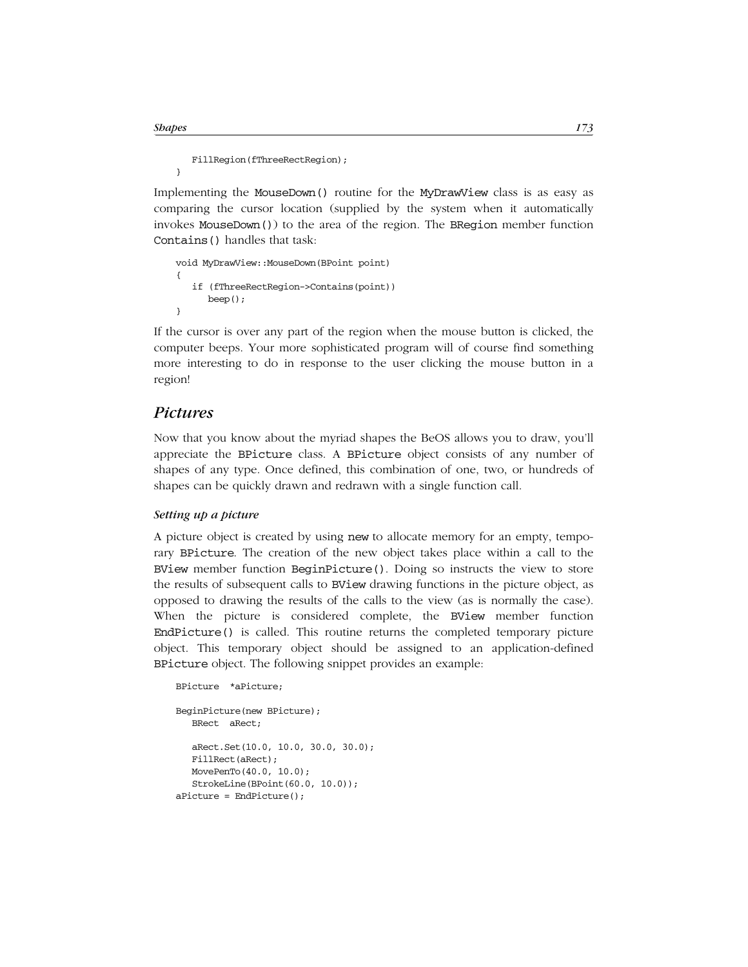```
 FillRegion(fThreeRectRegion);
}
```
Implementing the MouseDown() routine for the MyDrawView class is as easy as comparing the cursor location (supplied by the system when it automatically invokes MouseDown()) to the area of the region. The BRegion member function Contains() handles that task:

```
void MyDrawView::MouseDown(BPoint point)
{
    if (fThreeRectRegion->Contains(point))
       beep();
}
```
If the cursor is over any part of the region when the mouse button is clicked, the computer beeps. Your more sophisticated program will of course find something more interesting to do in response to the user clicking the mouse button in a region!

## *Pictures*

Now that you know about the myriad shapes the BeOS allows you to draw, you'll appreciate the BPicture class. A BPicture object consists of any number of shapes of any type. Once defined, this combination of one, two, or hundreds of shapes can be quickly drawn and redrawn with a single function call.

#### *Setting up a picture*

A picture object is created by using new to allocate memory for an empty, temporary BPicture. The creation of the new object takes place within a call to the BView member function BeginPicture(). Doing so instructs the view to store the results of subsequent calls to BView drawing functions in the picture object, as opposed to drawing the results of the calls to the view (as is normally the case). When the picture is considered complete, the BView member function EndPicture() is called. This routine returns the completed temporary picture object. This temporary object should be assigned to an application-defined BPicture object. The following snippet provides an example:

```
BPicture *aPicture;
BeginPicture(new BPicture);
   BRect aRect;
    aRect.Set(10.0, 10.0, 30.0, 30.0);
   FillRect(aRect);
   MovePenTo(40.0, 10.0);
   StrokeLine(BPoint(60.0, 10.0));
aPicture = EndPicture();
```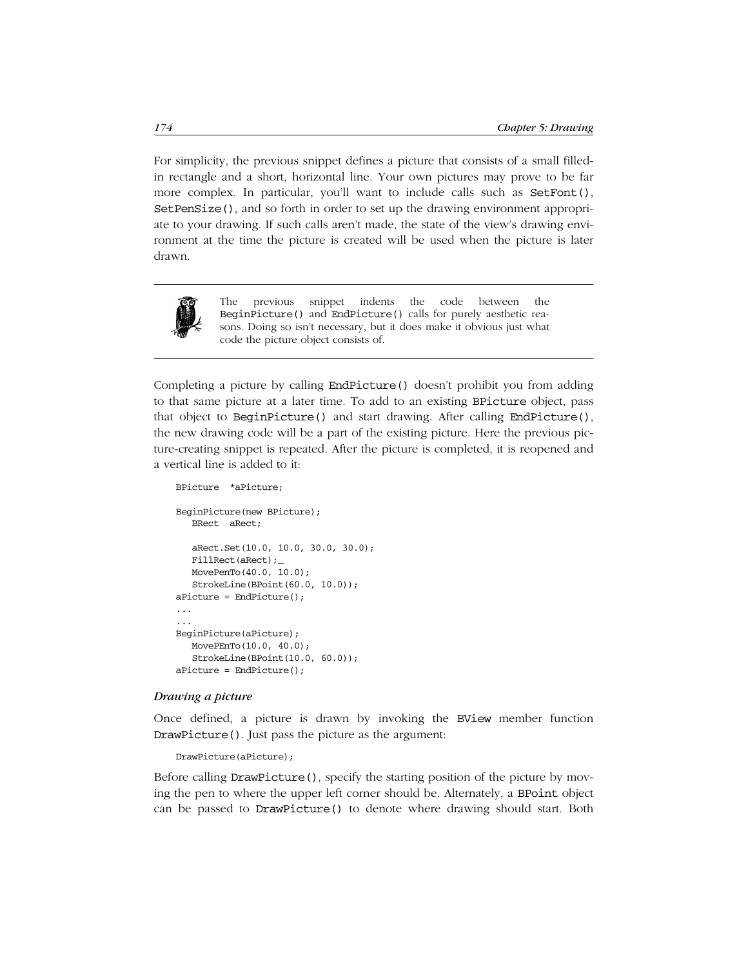For simplicity, the previous snippet defines a picture that consists of a small filledin rectangle and a short, horizontal line. Your own pictures may prove to be far more complex. In particular, you'll want to include calls such as  $SetFont(),$ SetPenSize(), and so forth in order to set up the drawing environment appropriate to your drawing. If such calls aren't made, the state of the view's drawing environment at the time the picture is created will be used when the picture is later drawn.



The previous snippet indents the code between the BeginPicture() and EndPicture() calls for purely aesthetic reasons. Doing so isn't necessary, but it does make it obvious just what code the picture object consists of.

Completing a picture by calling EndPicture() doesn't prohibit you from adding to that same picture at a later time. To add to an existing BPicture object, pass that object to BeginPicture() and start drawing. After calling EndPicture(), the new drawing code will be a part of the existing picture. Here the previous picture-creating snippet is repeated. After the picture is completed, it is reopened and a vertical line is added to it:

```
BPicture *aPicture;
BeginPicture(new BPicture);
    BRect aRect;
    aRect.Set(10.0, 10.0, 30.0, 30.0);
   FillRect(aRect);
    MovePenTo(40.0, 10.0);
    StrokeLine(BPoint(60.0, 10.0));
aPicture = EndPicture();
...
...
BeginPicture(aPicture);
    MovePEnTo(10.0, 40.0);
    StrokeLine(BPoint(10.0, 60.0));
aPicture = EndPicture();
```
#### *Drawing a picture*

Once defined, a picture is drawn by invoking the BView member function DrawPicture(). Just pass the picture as the argument:

```
DrawPicture(aPicture);
```
Before calling DrawPicture(), specify the starting position of the picture by moving the pen to where the upper left corner should be. Alternately, a BPoint object can be passed to DrawPicture() to denote where drawing should start. Both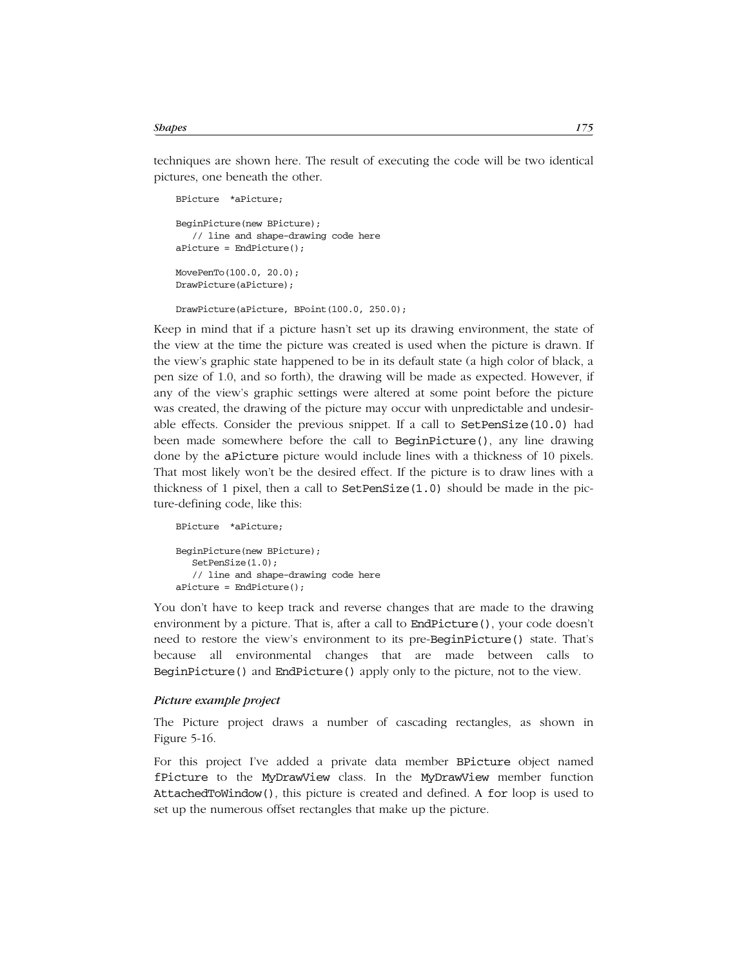techniques are shown here. The result of executing the code will be two identical pictures, one beneath the other.

```
BPicture *aPicture;
BeginPicture(new BPicture);
    // line and shape-drawing code here
aPicture = EndPicture();
MovePenTo(100.0, 20.0);
DrawPicture(aPicture);
```
DrawPicture(aPicture, BPoint(100.0, 250.0);

Keep in mind that if a picture hasn't set up its drawing environment, the state of the view at the time the picture was created is used when the picture is drawn. If the view's graphic state happened to be in its default state (a high color of black, a pen size of 1.0, and so forth), the drawing will be made as expected. However, if any of the view's graphic settings were altered at some point before the picture was created, the drawing of the picture may occur with unpredictable and undesirable effects. Consider the previous snippet. If a call to  $SetPenSize(10.0)$  had been made somewhere before the call to BeginPicture(), any line drawing done by the aPicture picture would include lines with a thickness of 10 pixels. That most likely won't be the desired effect. If the picture is to draw lines with a thickness of 1 pixel, then a call to  $SetPenSize(1.0)$  should be made in the picture-defining code, like this:

```
BPicture *aPicture;
BeginPicture(new BPicture);
    SetPenSize(1.0);
    // line and shape-drawing code here
aPicture = EndPicture();
```
You don't have to keep track and reverse changes that are made to the drawing environment by a picture. That is, after a call to EndPicture(), your code doesn't need to restore the view's environment to its pre-BeginPicture() state. That's because all environmental changes that are made between calls to BeginPicture() and EndPicture() apply only to the picture, not to the view.

#### *Picture example project*

The Picture project draws a number of cascading rectangles, as shown in Figure 5-16.

For this project I've added a private data member BPicture object named fPicture to the MyDrawView class. In the MyDrawView member function AttachedToWindow(), this picture is created and defined. A for loop is used to set up the numerous offset rectangles that make up the picture.